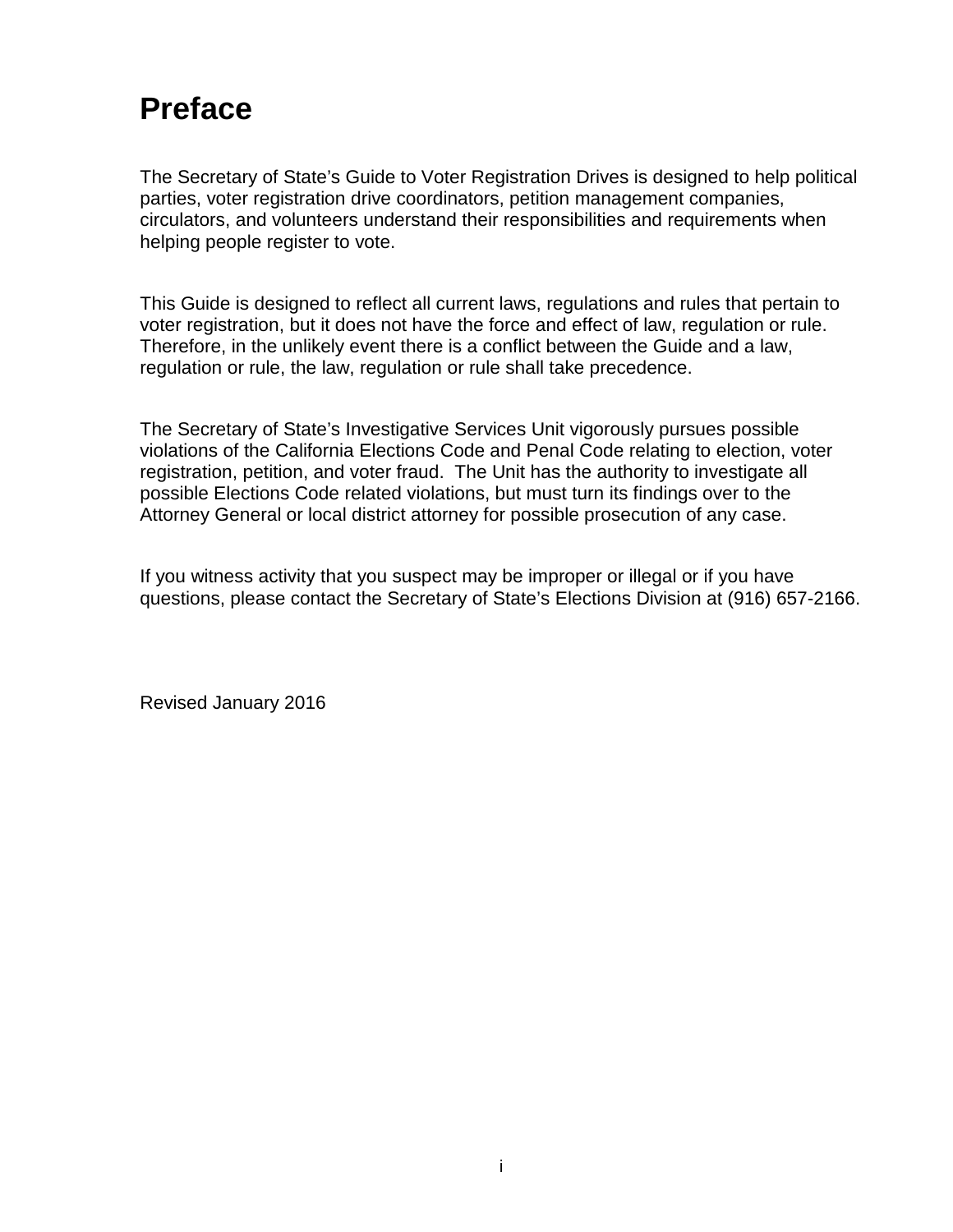# **Preface**

The Secretary of State's Guide to Voter Registration Drives is designed to help political parties, voter registration drive coordinators, petition management companies, circulators, and volunteers understand their responsibilities and requirements when helping people register to vote.

This Guide is designed to reflect all current laws, regulations and rules that pertain to voter registration, but it does not have the force and effect of law, regulation or rule. Therefore, in the unlikely event there is a conflict between the Guide and a law, regulation or rule, the law, regulation or rule shall take precedence.

The Secretary of State's Investigative Services Unit vigorously pursues possible violations of the California Elections Code and Penal Code relating to election, voter registration, petition, and voter fraud. The Unit has the authority to investigate all possible Elections Code related violations, but must turn its findings over to the Attorney General or local district attorney for possible prosecution of any case.

If you witness activity that you suspect may be improper or illegal or if you have questions, please contact the Secretary of State's Elections Division at (916) 657-2166.

Revised January 2016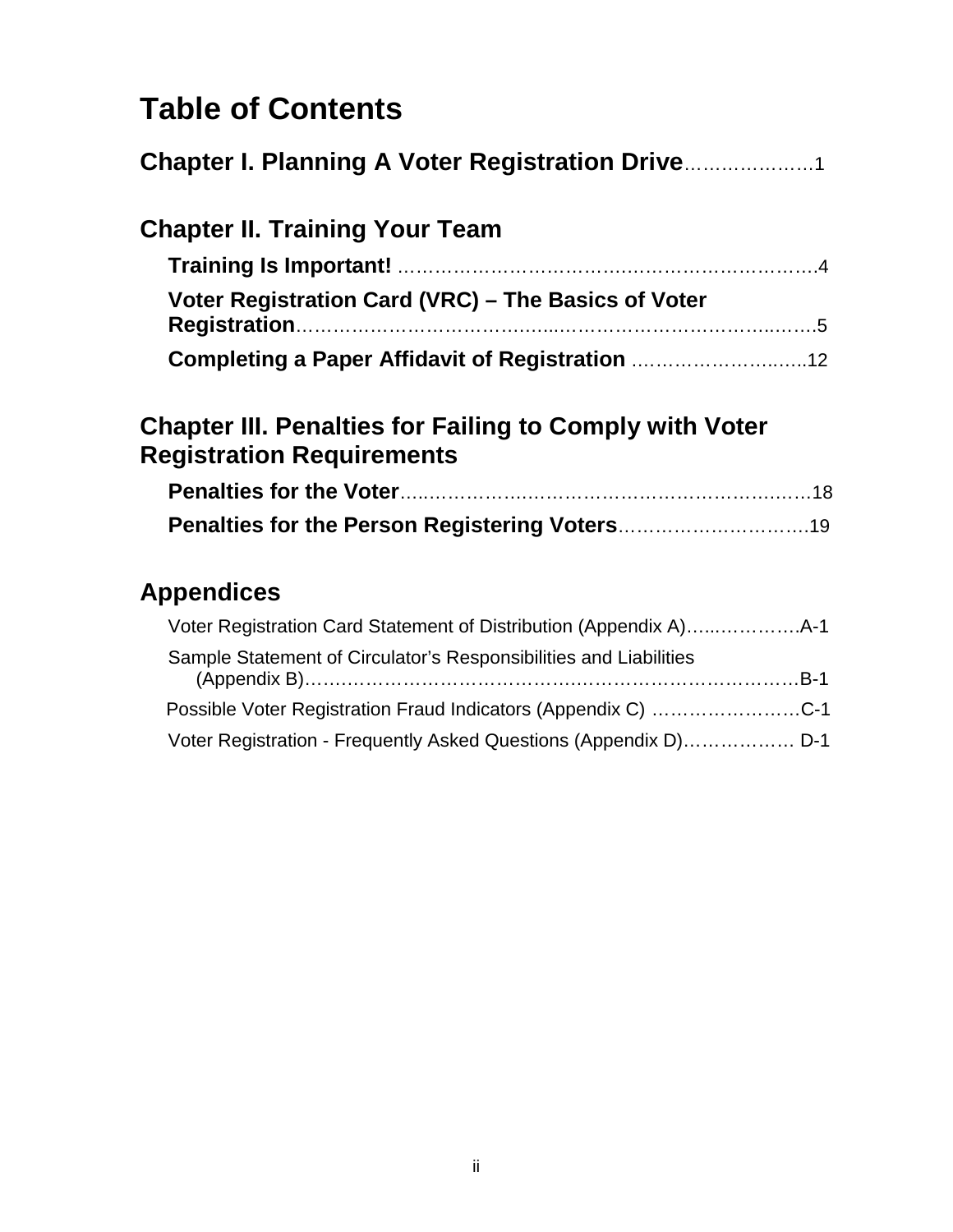# **Table of Contents**

| <b>Chapter I. Planning A Voter Registration Drive</b>                                              |  |
|----------------------------------------------------------------------------------------------------|--|
| <b>Chapter II. Training Your Team</b>                                                              |  |
|                                                                                                    |  |
| Voter Registration Card (VRC) – The Basics of Voter                                                |  |
| <b>Completing a Paper Affidavit of Registration </b> 12                                            |  |
| <b>Chapter III. Penalties for Failing to Comply with Voter</b><br><b>Registration Requirements</b> |  |
|                                                                                                    |  |
|                                                                                                    |  |
| <b>Appendices</b>                                                                                  |  |
|                                                                                                    |  |
| Cample Statement of Circulator's Pespensibilities and Liabilities                                  |  |

| Sample Statement of Circulator's Responsibilities and Liabilities |  |
|-------------------------------------------------------------------|--|
| Possible Voter Registration Fraud Indicators (Appendix C) C-1     |  |
| Voter Registration - Frequently Asked Questions (Appendix D) D-1  |  |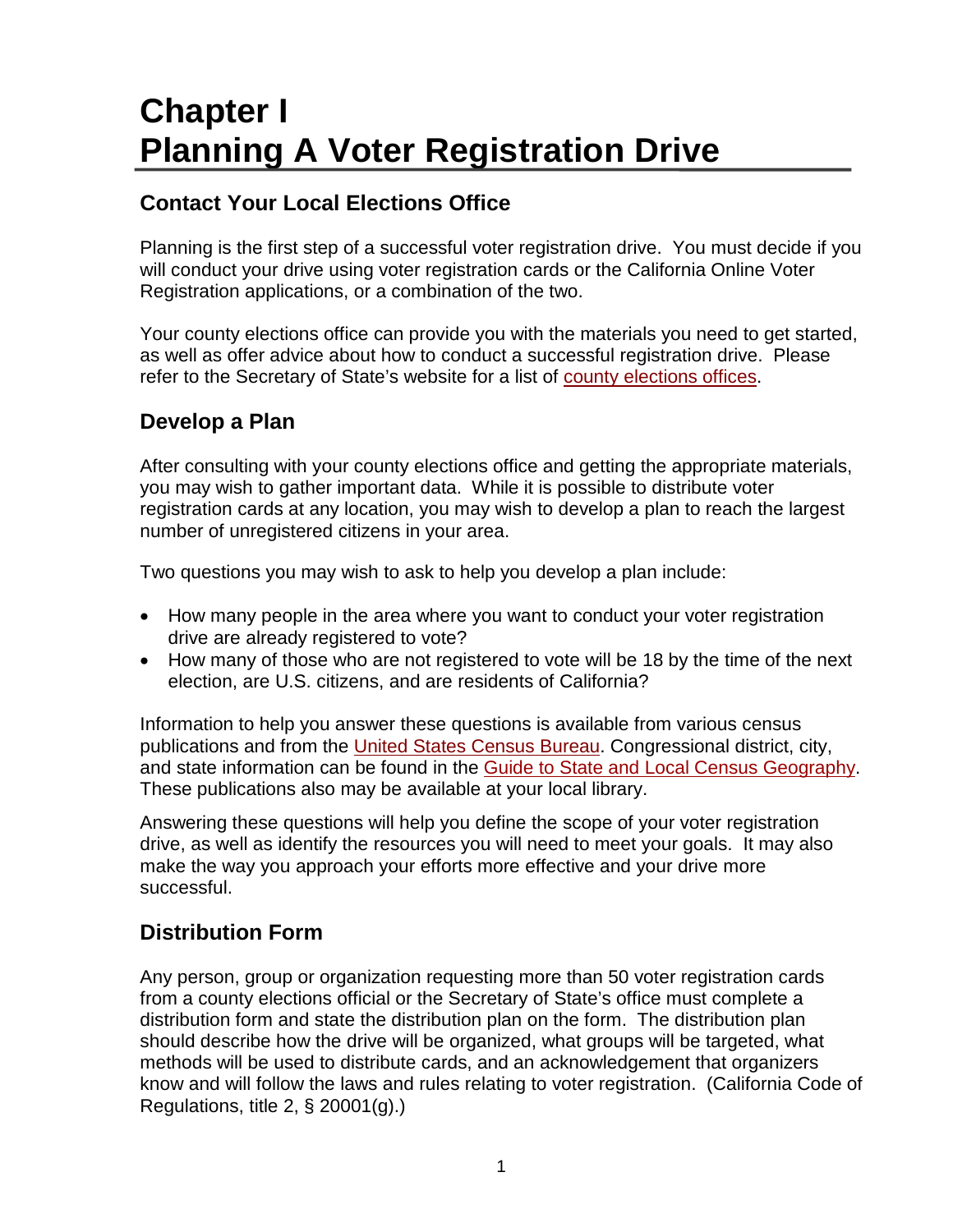# **Chapter I Planning A Voter Registration Drive**

# **Contact Your Local Elections Office**

Planning is the first step of a successful voter registration drive. You must decide if you will conduct your drive using voter registration cards or the California Online Voter Registration applications, or a combination of the two.

Your county elections office can provide you with the materials you need to get started, as well as offer advice about how to conduct a successful registration drive. Please refer to the Secretary of State's website for a list of [county elections offices.](http://www.sos.ca.gov/elections/voting-resources/county-elections-offices/)

# **Develop a Plan**

After consulting with your county elections office and getting the appropriate materials, you may wish to gather important data. While it is possible to distribute voter registration cards at any location, you may wish to develop a plan to reach the largest number of unregistered citizens in your area.

Two questions you may wish to ask to help you develop a plan include:

- How many people in the area where you want to conduct your voter registration drive are already registered to vote?
- How many of those who are not registered to vote will be 18 by the time of the next election, are U.S. citizens, and are residents of California?

Information to help you answer these questions is available from various census publications and from the [United States Census Bureau.](http://www.census.gov/2010census/) Congressional district, city, and state information can be found in the [Guide to State and Local Census Geography.](http://www.census.gov/geo/reference/geoguide.html) These publications also may be available at your local library.

Answering these questions will help you define the scope of your voter registration drive, as well as identify the resources you will need to meet your goals. It may also make the way you approach your efforts more effective and your drive more successful.

# **Distribution Form**

Any person, group or organization requesting more than 50 voter registration cards from a county elections official or the Secretary of State's office must complete a distribution form and state the distribution plan on the form. The distribution plan should describe how the drive will be organized, what groups will be targeted, what methods will be used to distribute cards, and an acknowledgement that organizers know and will follow the laws and rules relating to voter registration. (California Code of Regulations, title 2, § 20001(g).)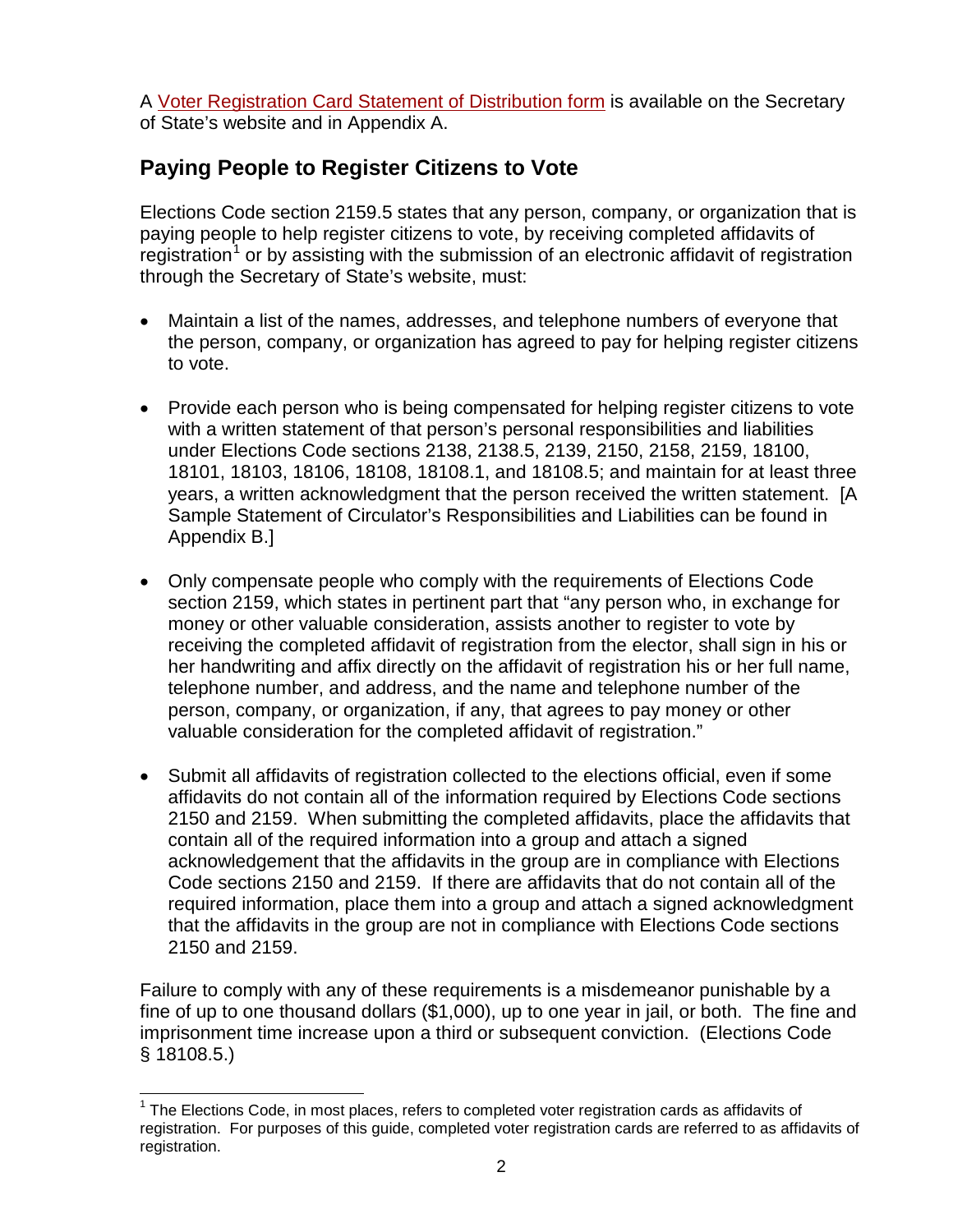A [Voter Registration Card Statement of Distribution form](http://elections.cdn.sos.ca.gov/vrdis.pdf) is available on the Secretary of State's website and in Appendix A.

# **Paying People to Register Citizens to Vote**

Elections Code section 2159.5 states that any person, company, or organization that is paying people to help register citizens to vote, by receiving completed affidavits of registration<sup>[1](#page-3-0)</sup> or by assisting with the submission of an electronic affidavit of registration through the Secretary of State's website, must:

- Maintain a list of the names, addresses, and telephone numbers of everyone that the person, company, or organization has agreed to pay for helping register citizens to vote.
- Provide each person who is being compensated for helping register citizens to vote with a written statement of that person's personal responsibilities and liabilities under Elections Code sections 2138, 2138.5, 2139, 2150, 2158, 2159, 18100, 18101, 18103, 18106, 18108, 18108.1, and 18108.5; and maintain for at least three years, a written acknowledgment that the person received the written statement. [A Sample Statement of Circulator's Responsibilities and Liabilities can be found in Appendix B.]
- Only compensate people who comply with the requirements of Elections Code section 2159, which states in pertinent part that "any person who, in exchange for money or other valuable consideration, assists another to register to vote by receiving the completed affidavit of registration from the elector, shall sign in his or her handwriting and affix directly on the affidavit of registration his or her full name, telephone number, and address, and the name and telephone number of the person, company, or organization, if any, that agrees to pay money or other valuable consideration for the completed affidavit of registration."
- Submit all affidavits of registration collected to the elections official, even if some affidavits do not contain all of the information required by Elections Code sections 2150 and 2159. When submitting the completed affidavits, place the affidavits that contain all of the required information into a group and attach a signed acknowledgement that the affidavits in the group are in compliance with Elections Code sections 2150 and 2159. If there are affidavits that do not contain all of the required information, place them into a group and attach a signed acknowledgment that the affidavits in the group are not in compliance with Elections Code sections 2150 and 2159.

Failure to comply with any of these requirements is a misdemeanor punishable by a fine of up to one thousand dollars (\$1,000), up to one year in jail, or both. The fine and imprisonment time increase upon a third or subsequent conviction. (Elections Code § 18108.5.)

<span id="page-3-0"></span> $1$  The Elections Code, in most places, refers to completed voter registration cards as affidavits of registration. For purposes of this guide, completed voter registration cards are referred to as affidavits of registration.  $\overline{a}$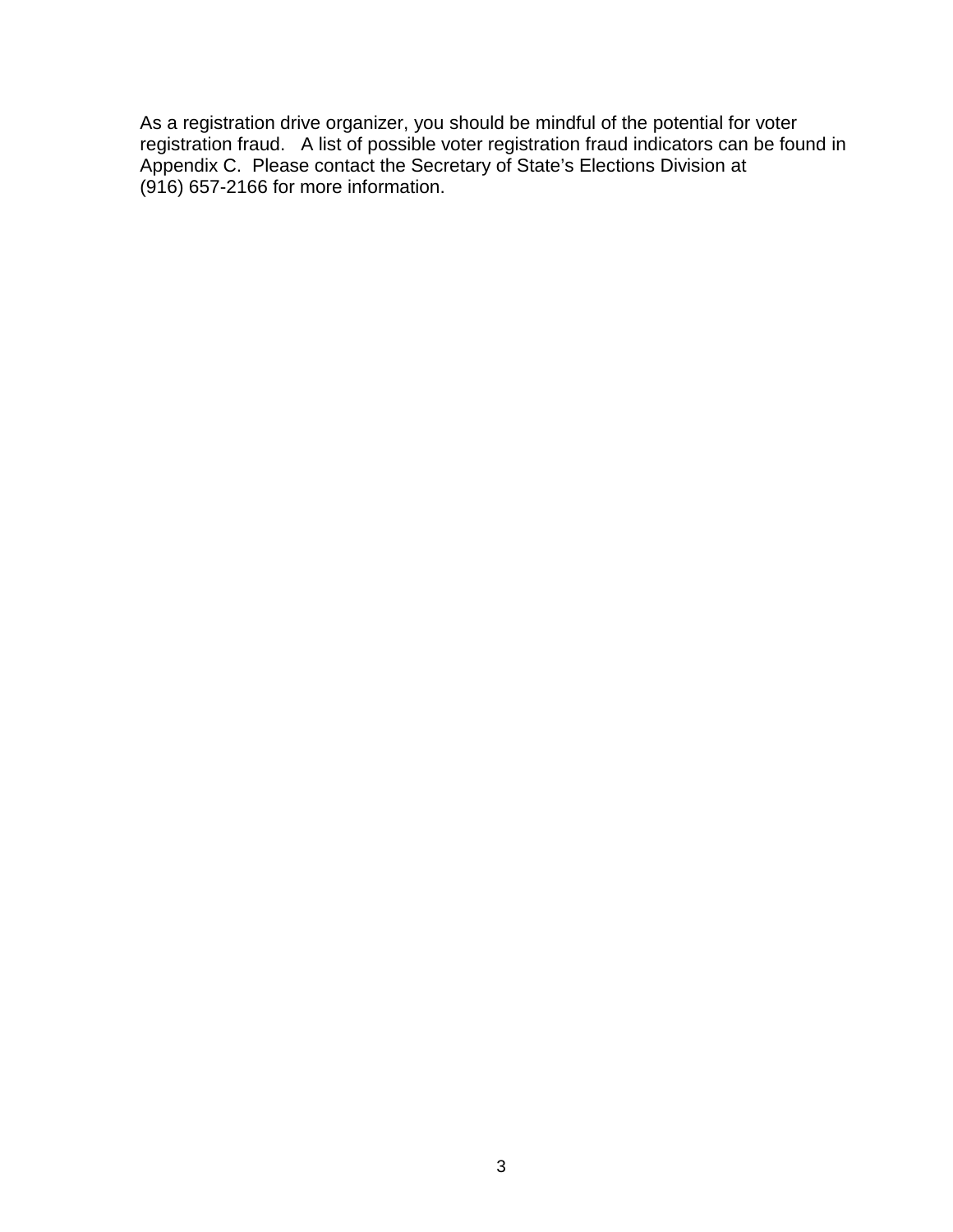As a registration drive organizer, you should be mindful of the potential for voter registration fraud. A list of possible voter registration fraud indicators can be found in Appendix C. Please contact the Secretary of State's Elections Division at (916) 657-2166 for more information.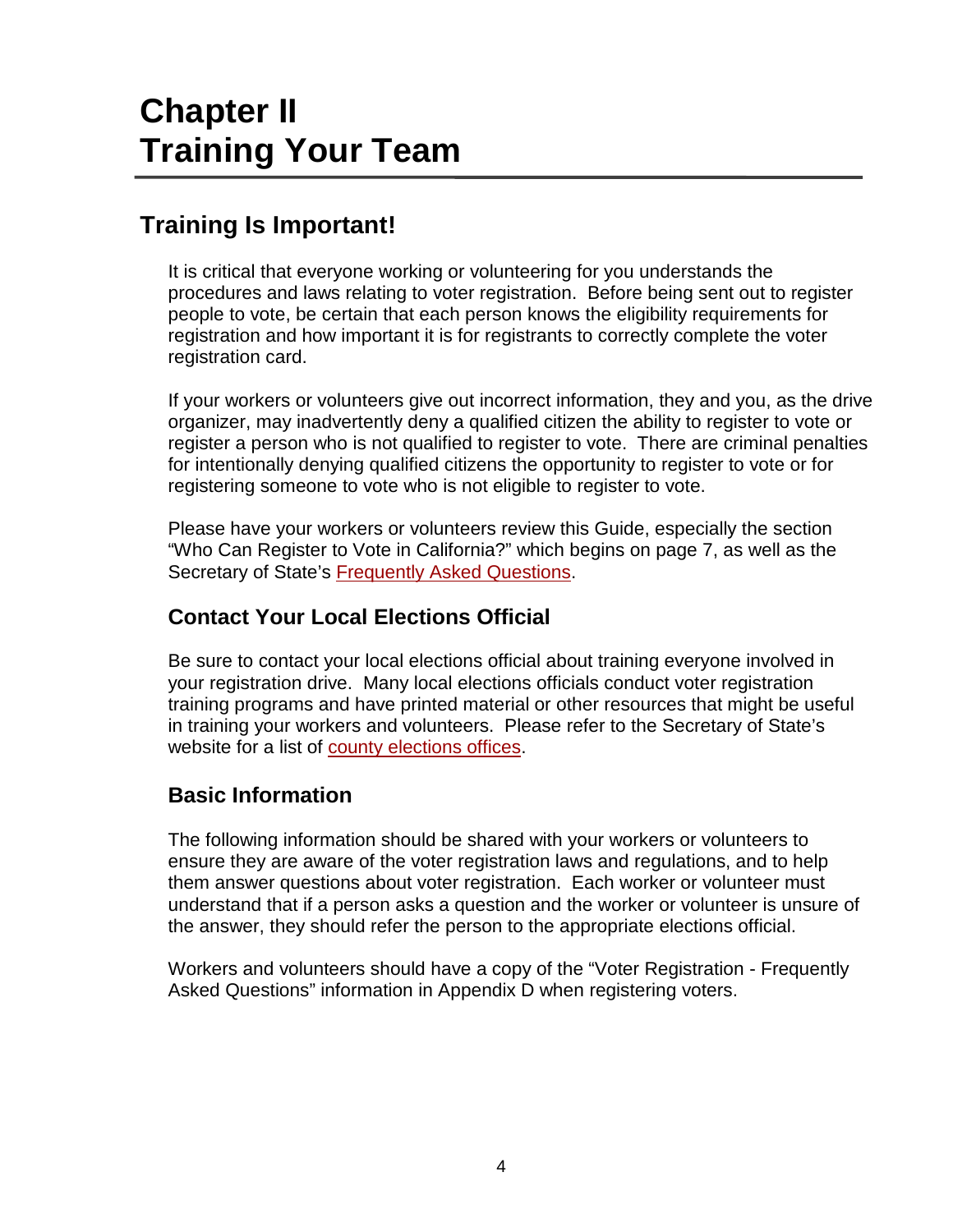# **Chapter II Training Your Team**

# **Training Is Important!**

It is critical that everyone working or volunteering for you understands the procedures and laws relating to voter registration. Before being sent out to register people to vote, be certain that each person knows the eligibility requirements for registration and how important it is for registrants to correctly complete the voter registration card.

If your workers or volunteers give out incorrect information, they and you, as the drive organizer, may inadvertently deny a qualified citizen the ability to register to vote or register a person who is not qualified to register to vote. There are criminal penalties for intentionally denying qualified citizens the opportunity to register to vote or for registering someone to vote who is not eligible to register to vote.

Please have your workers or volunteers review this Guide, especially the section "Who Can Register to Vote in California?" which begins on page 7, as well as the Secretary of State's [Frequently Asked Questions.](http://www.sos.ca.gov/elections/elections_faq.htm)

# **Contact Your Local Elections Official**

Be sure to contact your local elections official about training everyone involved in your registration drive. Many local elections officials conduct voter registration training programs and have printed material or other resources that might be useful in training your workers and volunteers. Please refer to the Secretary of State's website for a list of [county elections offices.](http://www.sos.ca.gov/elections/voting-resources/county-elections-offices/)

# **Basic Information**

The following information should be shared with your workers or volunteers to ensure they are aware of the voter registration laws and regulations, and to help them answer questions about voter registration. Each worker or volunteer must understand that if a person asks a question and the worker or volunteer is unsure of the answer, they should refer the person to the appropriate elections official.

Workers and volunteers should have a copy of the "Voter Registration - Frequently Asked Questions" information in Appendix D when registering voters.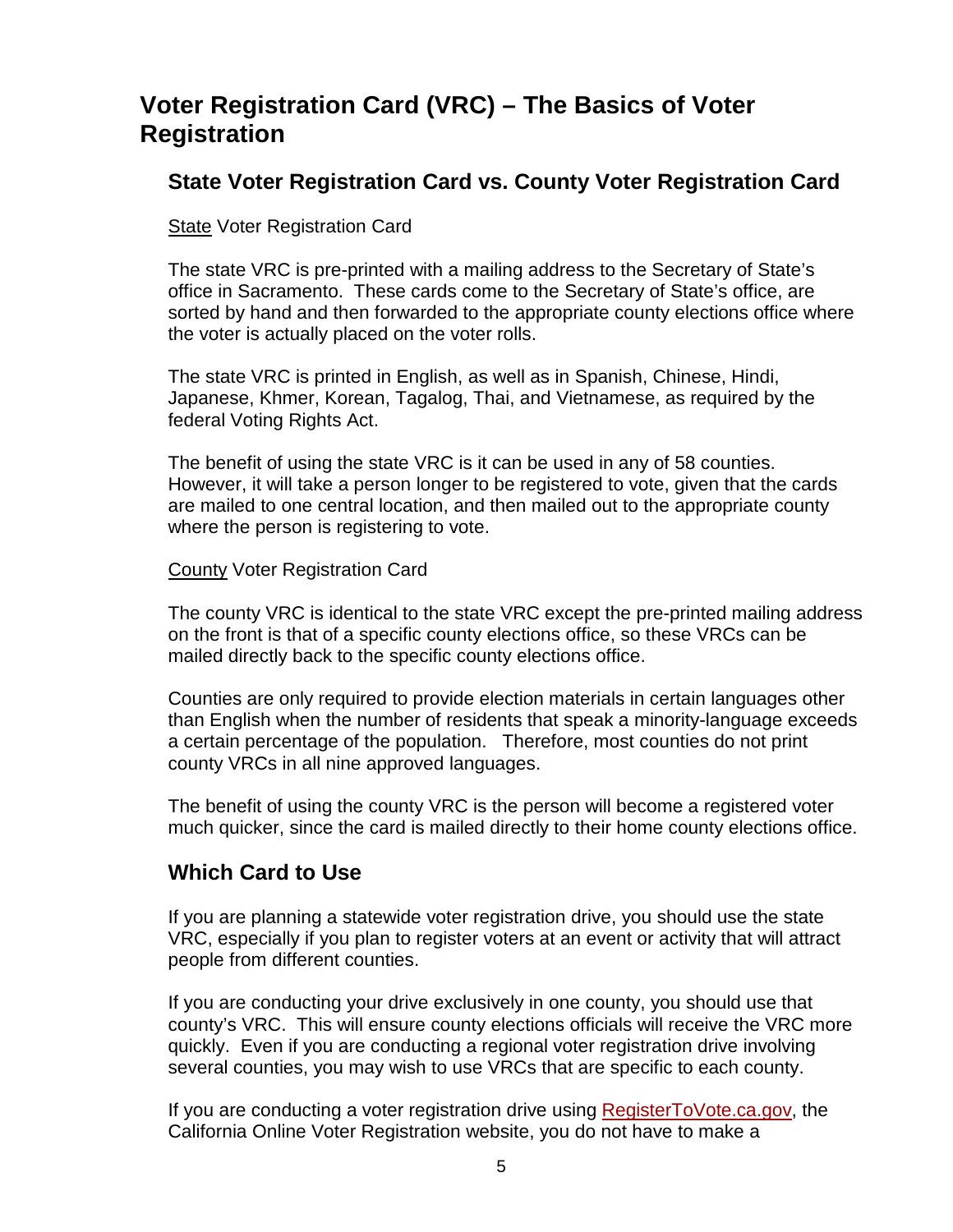# **Voter Registration Card (VRC) – The Basics of Voter Registration**

## **State Voter Registration Card vs. County Voter Registration Card**

**State Voter Registration Card** 

The state VRC is pre-printed with a mailing address to the Secretary of State's office in Sacramento. These cards come to the Secretary of State's office, are sorted by hand and then forwarded to the appropriate county elections office where the voter is actually placed on the voter rolls.

The state VRC is printed in English, as well as in Spanish, Chinese, Hindi, Japanese, Khmer, Korean, Tagalog, Thai, and Vietnamese, as required by the federal Voting Rights Act.

The benefit of using the state VRC is it can be used in any of 58 counties. However, it will take a person longer to be registered to vote, given that the cards are mailed to one central location, and then mailed out to the appropriate county where the person is registering to vote.

County Voter Registration Card

The county VRC is identical to the state VRC except the pre-printed mailing address on the front is that of a specific county elections office, so these VRCs can be mailed directly back to the specific county elections office.

Counties are only required to provide election materials in certain languages other than English when the number of residents that speak a minority-language exceeds a certain percentage of the population. Therefore, most counties do not print county VRCs in all nine approved languages.

The benefit of using the county VRC is the person will become a registered voter much quicker, since the card is mailed directly to their home county elections office.

# **Which Card to Use**

If you are planning a statewide voter registration drive, you should use the state VRC, especially if you plan to register voters at an event or activity that will attract people from different counties.

If you are conducting your drive exclusively in one county, you should use that county's VRC. This will ensure county elections officials will receive the VRC more quickly. Even if you are conducting a regional voter registration drive involving several counties, you may wish to use VRCs that are specific to each county.

If you are conducting a voter registration drive using **RegisterToVote.ca.gov**, the California Online Voter Registration website, you do not have to make a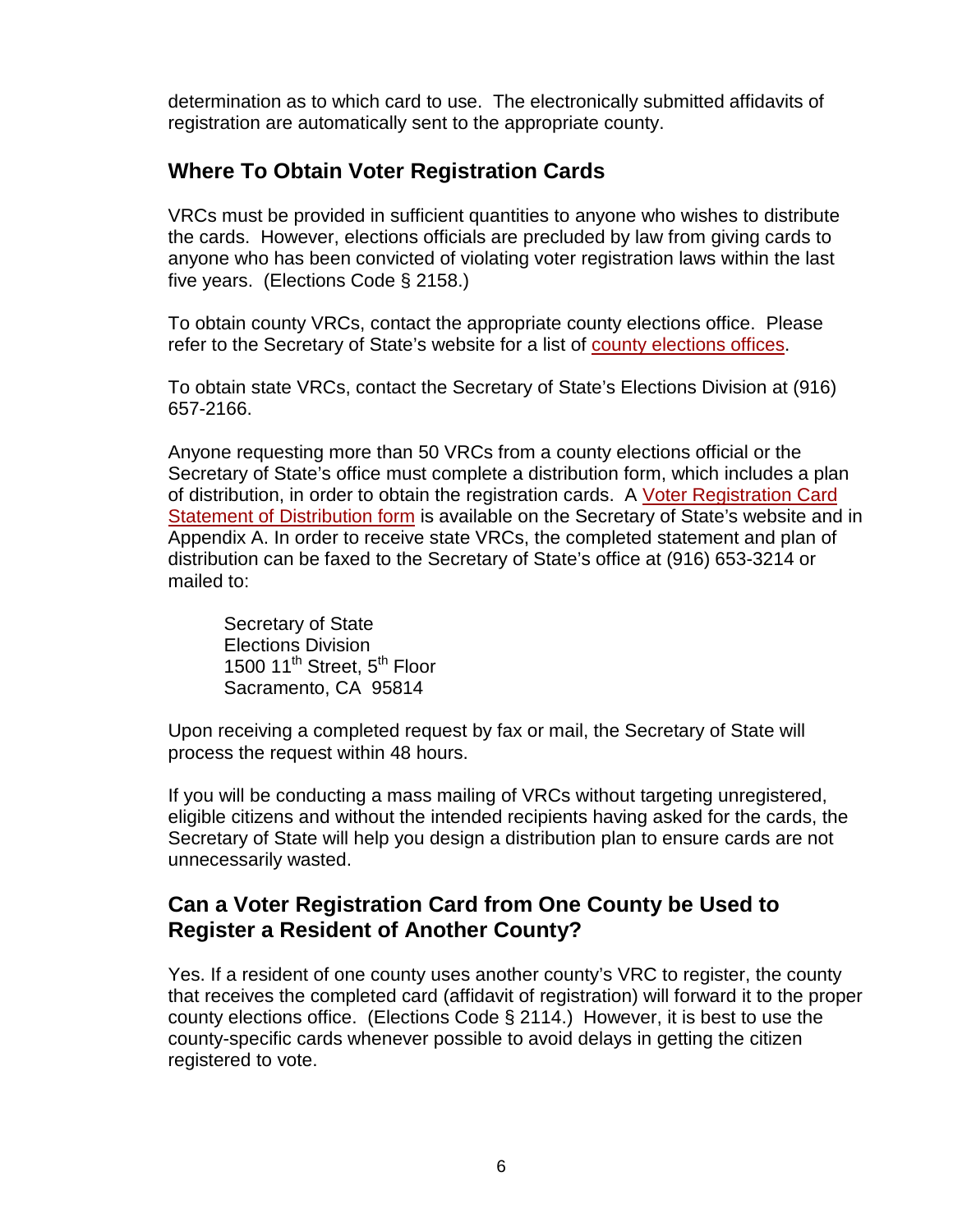determination as to which card to use. The electronically submitted affidavits of registration are automatically sent to the appropriate county.

# **Where To Obtain Voter Registration Cards**

VRCs must be provided in sufficient quantities to anyone who wishes to distribute the cards. However, elections officials are precluded by law from giving cards to anyone who has been convicted of violating voter registration laws within the last five years. (Elections Code § 2158.)

To obtain county VRCs, contact the appropriate county elections office. Please refer to the Secretary of State's website for a list of [county elections offices.](http://www.sos.ca.gov/elections/voting-resources/county-elections-offices/)

To obtain state VRCs, contact the Secretary of State's Elections Division at (916) 657-2166.

Anyone requesting more than 50 VRCs from a county elections official or the Secretary of State's office must complete a distribution form, which includes a plan of distribution, in order to obtain the registration cards. A [Voter Registration Card](http://elections.cdn.sos.ca.gov/vrdis.pdf)  [Statement of Distribution form](http://elections.cdn.sos.ca.gov/vrdis.pdf) is available on the Secretary of State's website and in Appendix A. In order to receive state VRCs, the completed statement and plan of distribution can be faxed to the Secretary of State's office at (916) 653-3214 or mailed to:

Secretary of State Elections Division 1500 11<sup>th</sup> Street, 5<sup>th</sup> Floor Sacramento, CA 95814

Upon receiving a completed request by fax or mail, the Secretary of State will process the request within 48 hours.

If you will be conducting a mass mailing of VRCs without targeting unregistered, eligible citizens and without the intended recipients having asked for the cards, the Secretary of State will help you design a distribution plan to ensure cards are not unnecessarily wasted.

## **Can a Voter Registration Card from One County be Used to Register a Resident of Another County?**

Yes. If a resident of one county uses another county's VRC to register, the county that receives the completed card (affidavit of registration) will forward it to the proper county elections office. (Elections Code § 2114.) However, it is best to use the county-specific cards whenever possible to avoid delays in getting the citizen registered to vote.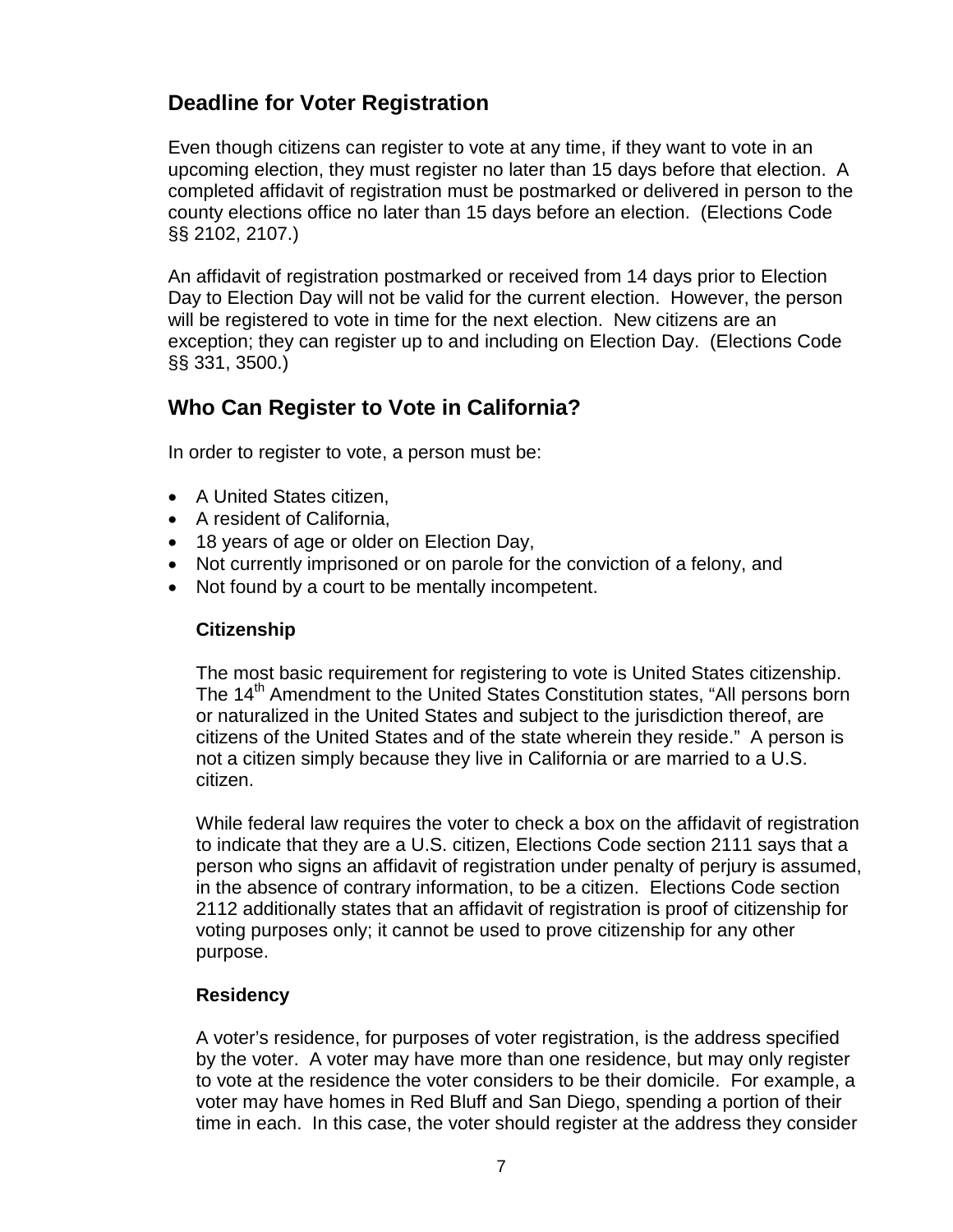# **Deadline for Voter Registration**

Even though citizens can register to vote at any time, if they want to vote in an upcoming election, they must register no later than 15 days before that election. A completed affidavit of registration must be postmarked or delivered in person to the county elections office no later than 15 days before an election. (Elections Code §§ 2102, 2107.)

An affidavit of registration postmarked or received from 14 days prior to Election Day to Election Day will not be valid for the current election. However, the person will be registered to vote in time for the next election. New citizens are an exception; they can register up to and including on Election Day. (Elections Code §§ 331, 3500.)

# **Who Can Register to Vote in California?**

In order to register to vote, a person must be:

- A United States citizen.
- A resident of California,
- 18 years of age or older on Election Day,
- Not currently imprisoned or on parole for the conviction of a felony, and
- Not found by a court to be mentally incompetent.

#### **Citizenship**

The most basic requirement for registering to vote is United States citizenship. The 14<sup>th</sup> Amendment to the United States Constitution states, "All persons born or naturalized in the United States and subject to the jurisdiction thereof, are citizens of the United States and of the state wherein they reside." A person is not a citizen simply because they live in California or are married to a U.S. citizen.

While federal law requires the voter to check a box on the affidavit of registration to indicate that they are a U.S. citizen, Elections Code section 2111 says that a person who signs an affidavit of registration under penalty of perjury is assumed, in the absence of contrary information, to be a citizen. Elections Code section 2112 additionally states that an affidavit of registration is proof of citizenship for voting purposes only; it cannot be used to prove citizenship for any other purpose.

#### **Residency**

A voter's residence, for purposes of voter registration, is the address specified by the voter. A voter may have more than one residence, but may only register to vote at the residence the voter considers to be their domicile. For example, a voter may have homes in Red Bluff and San Diego, spending a portion of their time in each. In this case, the voter should register at the address they consider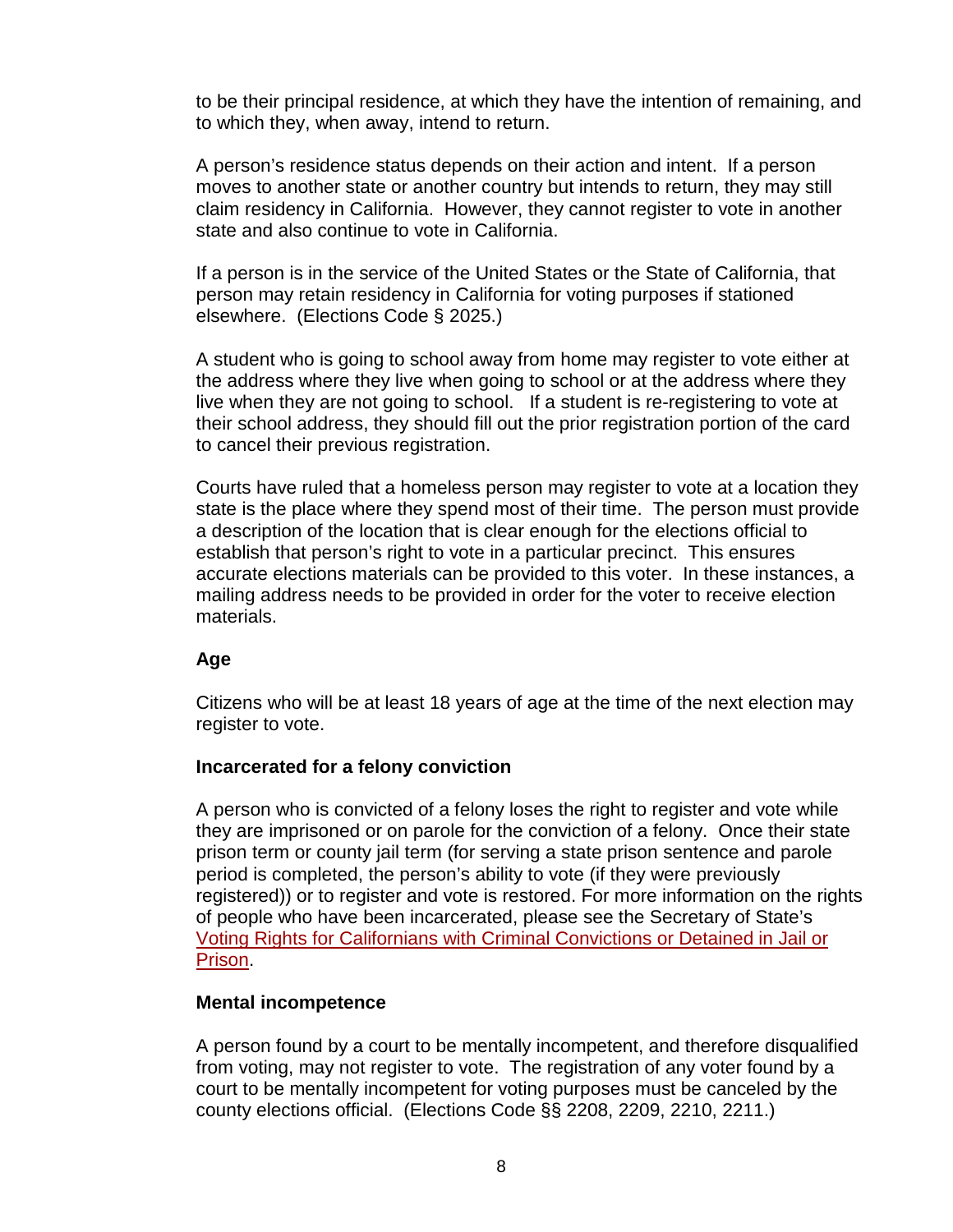to be their principal residence, at which they have the intention of remaining, and to which they, when away, intend to return.

A person's residence status depends on their action and intent. If a person moves to another state or another country but intends to return, they may still claim residency in California. However, they cannot register to vote in another state and also continue to vote in California.

If a person is in the service of the United States or the State of California, that person may retain residency in California for voting purposes if stationed elsewhere. (Elections Code § 2025.)

A student who is going to school away from home may register to vote either at the address where they live when going to school or at the address where they live when they are not going to school. If a student is re-registering to vote at their school address, they should fill out the prior registration portion of the card to cancel their previous registration.

Courts have ruled that a homeless person may register to vote at a location they state is the place where they spend most of their time. The person must provide a description of the location that is clear enough for the elections official to establish that person's right to vote in a particular precinct. This ensures accurate elections materials can be provided to this voter. In these instances, a mailing address needs to be provided in order for the voter to receive election materials.

#### **Age**

Citizens who will be at least 18 years of age at the time of the next election may register to vote.

#### **Incarcerated for a felony conviction**

A person who is convicted of a felony loses the right to register and vote while they are imprisoned or on parole for the conviction of a felony. Once their state prison term or county jail term (for serving a state prison sentence and parole period is completed, the person's ability to vote (if they were previously registered)) or to register and vote is restored. For more information on the rights of people who have been incarcerated, please see the Secretary of State's [Voting Rights for Californians with Criminal Convictions or Detained in Jail or](http://www.sos.ca.gov/elections/voting-resources/new-voters/who-can-vote-california/voting-rights-californians/)  [Prison.](http://www.sos.ca.gov/elections/voting-resources/new-voters/who-can-vote-california/voting-rights-californians/)

#### **Mental incompetence**

A person found by a court to be mentally incompetent, and therefore disqualified from voting, may not register to vote. The registration of any voter found by a court to be mentally incompetent for voting purposes must be canceled by the county elections official. (Elections Code §§ 2208, 2209, 2210, 2211.)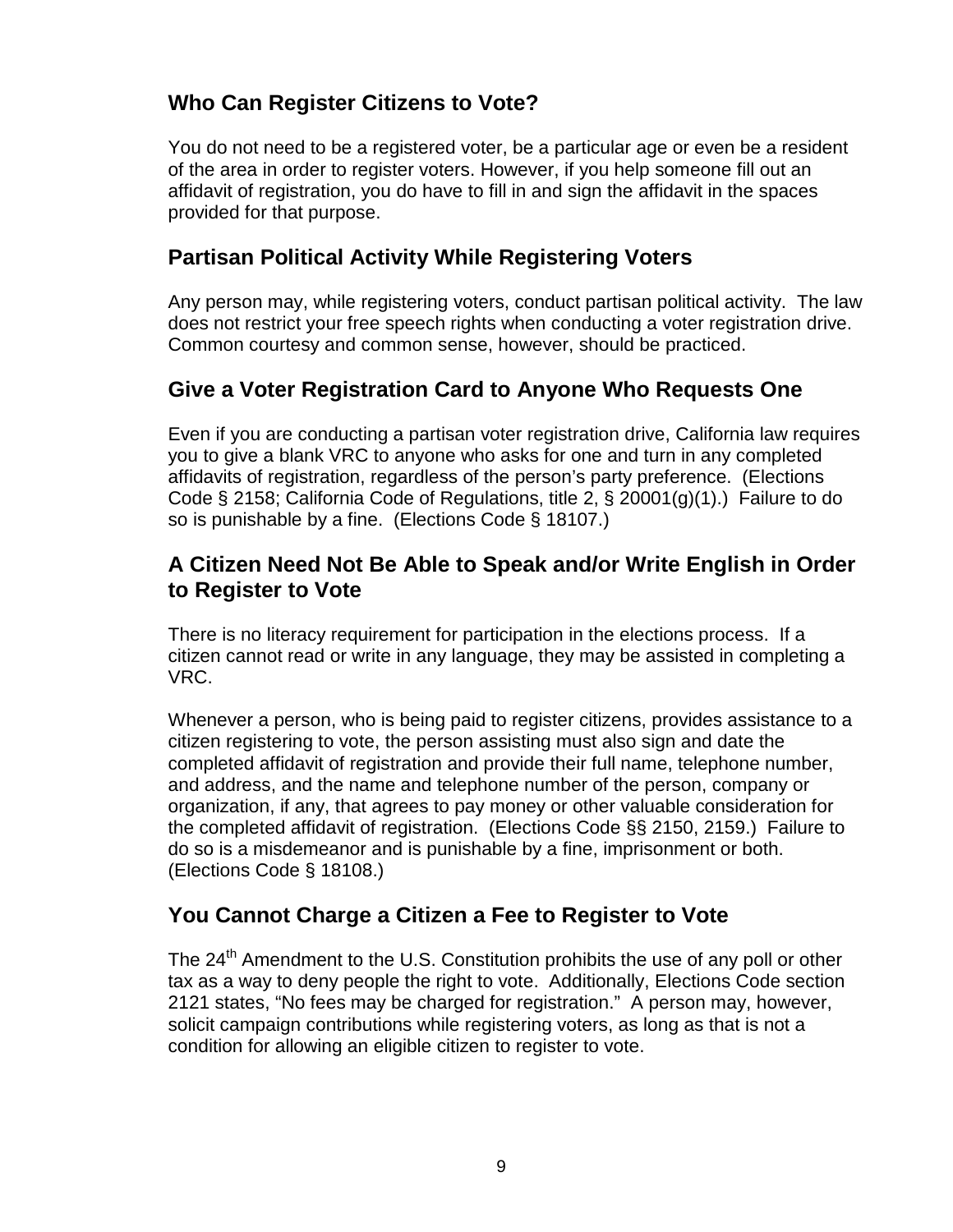# **Who Can Register Citizens to Vote?**

You do not need to be a registered voter, be a particular age or even be a resident of the area in order to register voters. However, if you help someone fill out an affidavit of registration, you do have to fill in and sign the affidavit in the spaces provided for that purpose.

# **Partisan Political Activity While Registering Voters**

Any person may, while registering voters, conduct partisan political activity. The law does not restrict your free speech rights when conducting a voter registration drive. Common courtesy and common sense, however, should be practiced.

# **Give a Voter Registration Card to Anyone Who Requests One**

Even if you are conducting a partisan voter registration drive, California law requires you to give a blank VRC to anyone who asks for one and turn in any completed affidavits of registration, regardless of the person's party preference. (Elections Code § 2158; California Code of Regulations, title 2, § 20001(g)(1).) Failure to do so is punishable by a fine. (Elections Code § 18107.)

# **A Citizen Need Not Be Able to Speak and/or Write English in Order to Register to Vote**

There is no literacy requirement for participation in the elections process. If a citizen cannot read or write in any language, they may be assisted in completing a VRC.

Whenever a person, who is being paid to register citizens, provides assistance to a citizen registering to vote, the person assisting must also sign and date the completed affidavit of registration and provide their full name, telephone number, and address, and the name and telephone number of the person, company or organization, if any, that agrees to pay money or other valuable consideration for the completed affidavit of registration. (Elections Code §§ 2150, 2159.) Failure to do so is a misdemeanor and is punishable by a fine, imprisonment or both. (Elections Code § 18108.)

# **You Cannot Charge a Citizen a Fee to Register to Vote**

The  $24<sup>th</sup>$  Amendment to the U.S. Constitution prohibits the use of any poll or other tax as a way to deny people the right to vote. Additionally, Elections Code section 2121 states, "No fees may be charged for registration." A person may, however, solicit campaign contributions while registering voters, as long as that is not a condition for allowing an eligible citizen to register to vote.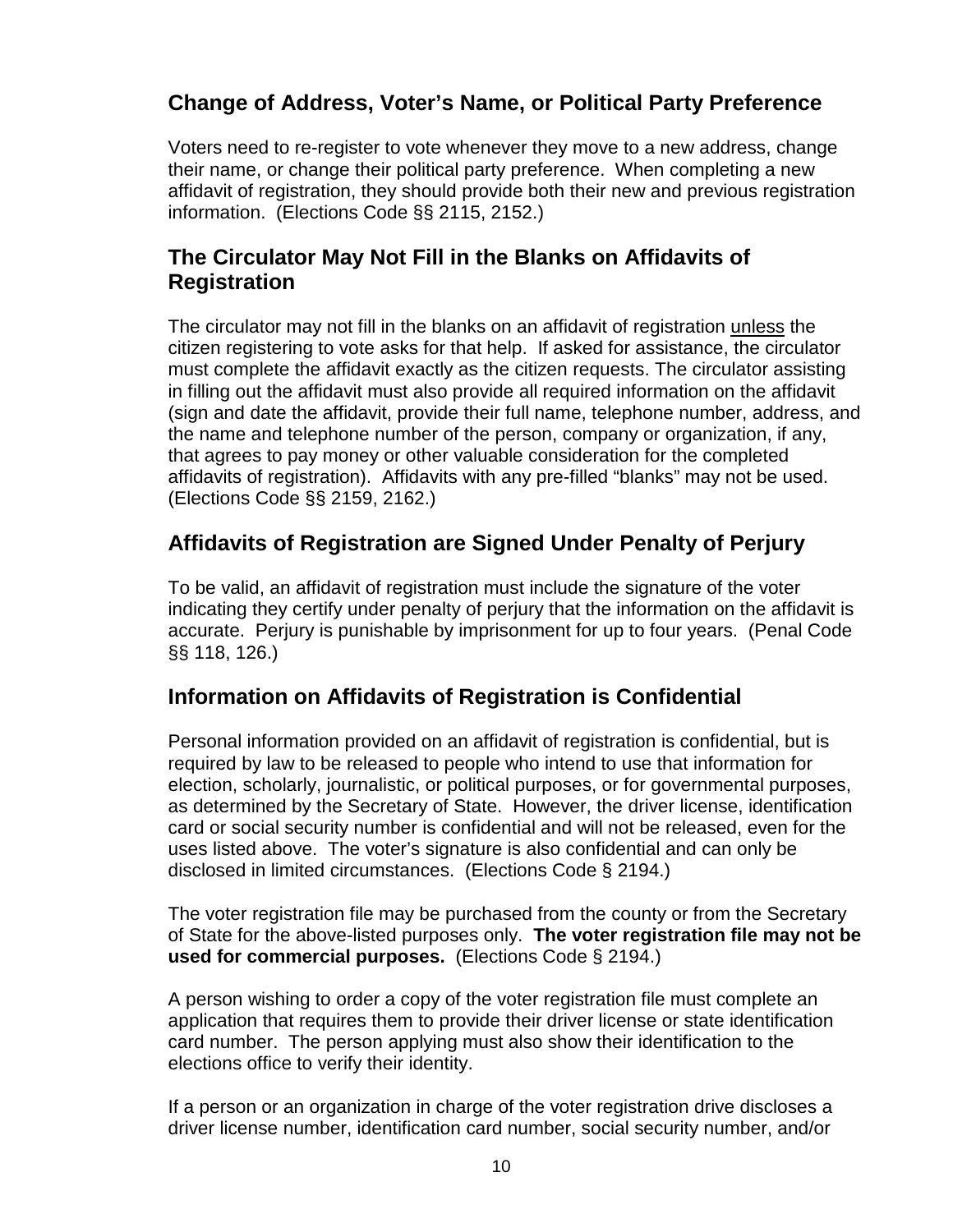# **Change of Address, Voter's Name, or Political Party Preference**

Voters need to re-register to vote whenever they move to a new address, change their name, or change their political party preference. When completing a new affidavit of registration, they should provide both their new and previous registration information. (Elections Code §§ 2115, 2152.)

## **The Circulator May Not Fill in the Blanks on Affidavits of Registration**

The circulator may not fill in the blanks on an affidavit of registration unless the citizen registering to vote asks for that help. If asked for assistance, the circulator must complete the affidavit exactly as the citizen requests. The circulator assisting in filling out the affidavit must also provide all required information on the affidavit (sign and date the affidavit, provide their full name, telephone number, address, and the name and telephone number of the person, company or organization, if any, that agrees to pay money or other valuable consideration for the completed affidavits of registration). Affidavits with any pre-filled "blanks" may not be used. (Elections Code §§ 2159, 2162.)

# **Affidavits of Registration are Signed Under Penalty of Perjury**

To be valid, an affidavit of registration must include the signature of the voter indicating they certify under penalty of perjury that the information on the affidavit is accurate. Perjury is punishable by imprisonment for up to four years. (Penal Code §§ 118, 126.)

# **Information on Affidavits of Registration is Confidential**

Personal information provided on an affidavit of registration is confidential, but is required by law to be released to people who intend to use that information for election, scholarly, journalistic, or political purposes, or for governmental purposes, as determined by the Secretary of State. However, the driver license, identification card or social security number is confidential and will not be released, even for the uses listed above. The voter's signature is also confidential and can only be disclosed in limited circumstances. (Elections Code § 2194.)

The voter registration file may be purchased from the county or from the Secretary of State for the above-listed purposes only. **The voter registration file may not be used for commercial purposes.** (Elections Code § 2194.)

A person wishing to order a copy of the voter registration file must complete an application that requires them to provide their driver license or state identification card number. The person applying must also show their identification to the elections office to verify their identity.

If a person or an organization in charge of the voter registration drive discloses a driver license number, identification card number, social security number, and/or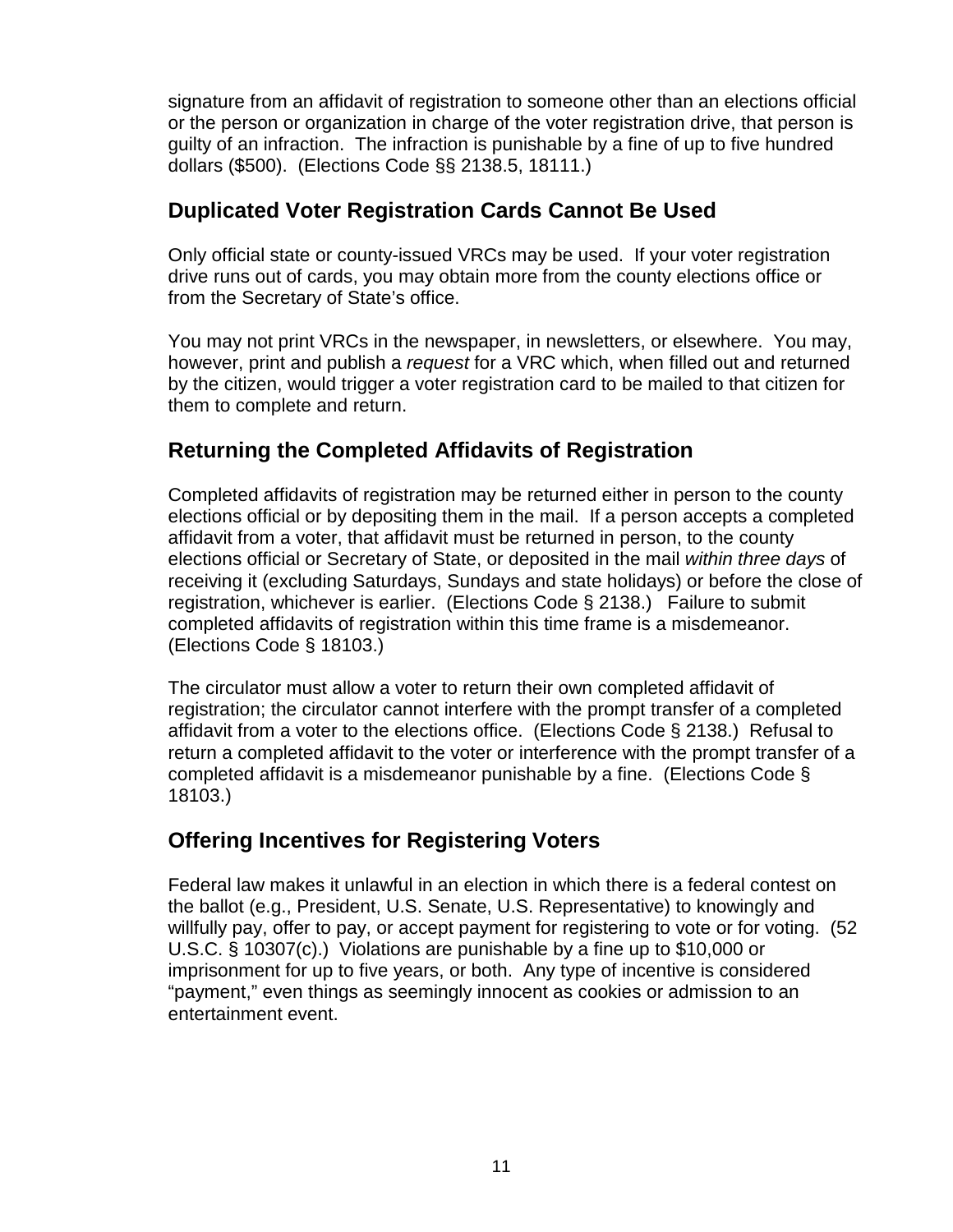signature from an affidavit of registration to someone other than an elections official or the person or organization in charge of the voter registration drive, that person is guilty of an infraction. The infraction is punishable by a fine of up to five hundred dollars (\$500). (Elections Code §§ 2138.5, 18111.)

## **Duplicated Voter Registration Cards Cannot Be Used**

Only official state or county-issued VRCs may be used. If your voter registration drive runs out of cards, you may obtain more from the county elections office or from the Secretary of State's office.

You may not print VRCs in the newspaper, in newsletters, or elsewhere. You may, however, print and publish a *request* for a VRC which, when filled out and returned by the citizen, would trigger a voter registration card to be mailed to that citizen for them to complete and return.

# **Returning the Completed Affidavits of Registration**

Completed affidavits of registration may be returned either in person to the county elections official or by depositing them in the mail. If a person accepts a completed affidavit from a voter, that affidavit must be returned in person, to the county elections official or Secretary of State, or deposited in the mail *within three days* of receiving it (excluding Saturdays, Sundays and state holidays) or before the close of registration, whichever is earlier. (Elections Code § 2138.) Failure to submit completed affidavits of registration within this time frame is a misdemeanor. (Elections Code § 18103.)

The circulator must allow a voter to return their own completed affidavit of registration; the circulator cannot interfere with the prompt transfer of a completed affidavit from a voter to the elections office. (Elections Code § 2138.) Refusal to return a completed affidavit to the voter or interference with the prompt transfer of a completed affidavit is a misdemeanor punishable by a fine. (Elections Code § 18103.)

# **Offering Incentives for Registering Voters**

Federal law makes it unlawful in an election in which there is a federal contest on the ballot (e.g., President, U.S. Senate, U.S. Representative) to knowingly and willfully pay, offer to pay, or accept payment for registering to vote or for voting. (52 U.S.C. § 10307(c).) Violations are punishable by a fine up to \$10,000 or imprisonment for up to five years, or both. Any type of incentive is considered "payment," even things as seemingly innocent as cookies or admission to an entertainment event.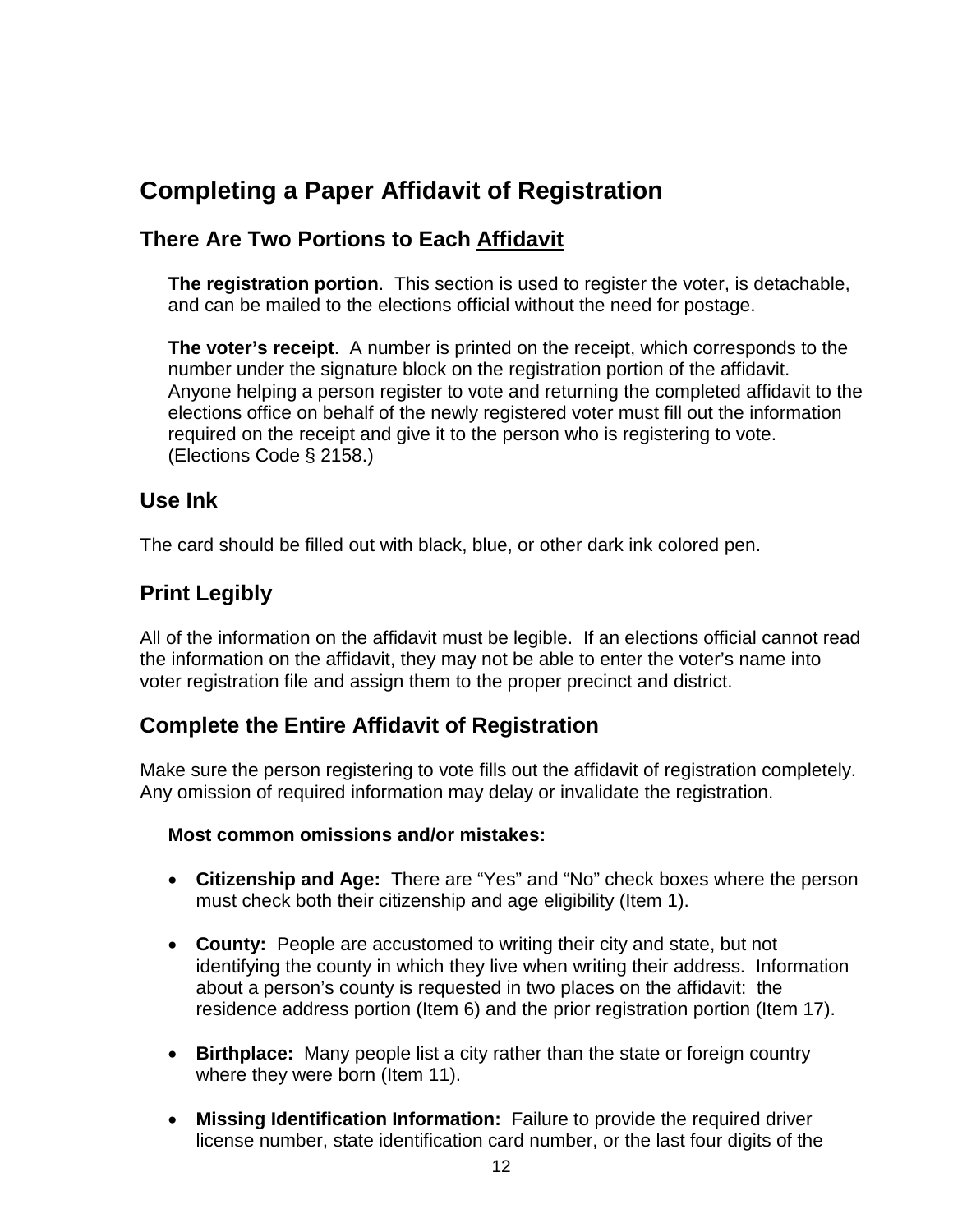# **Completing a Paper Affidavit of Registration**

# **There Are Two Portions to Each Affidavit**

**The registration portion**. This section is used to register the voter, is detachable, and can be mailed to the elections official without the need for postage.

**The voter's receipt**. A number is printed on the receipt, which corresponds to the number under the signature block on the registration portion of the affidavit. Anyone helping a person register to vote and returning the completed affidavit to the elections office on behalf of the newly registered voter must fill out the information required on the receipt and give it to the person who is registering to vote. (Elections Code § 2158.)

## **Use Ink**

The card should be filled out with black, blue, or other dark ink colored pen.

# **Print Legibly**

All of the information on the affidavit must be legible. If an elections official cannot read the information on the affidavit, they may not be able to enter the voter's name into voter registration file and assign them to the proper precinct and district.

# **Complete the Entire Affidavit of Registration**

Make sure the person registering to vote fills out the affidavit of registration completely. Any omission of required information may delay or invalidate the registration.

#### **Most common omissions and/or mistakes:**

- **Citizenship and Age:** There are "Yes" and "No" check boxes where the person must check both their citizenship and age eligibility (Item 1).
- **County:** People are accustomed to writing their city and state, but not identifying the county in which they live when writing their address. Information about a person's county is requested in two places on the affidavit: the residence address portion (Item 6) and the prior registration portion (Item 17).
- **Birthplace:** Many people list a city rather than the state or foreign country where they were born (Item 11).
- **Missing Identification Information:** Failure to provide the required driver license number, state identification card number, or the last four digits of the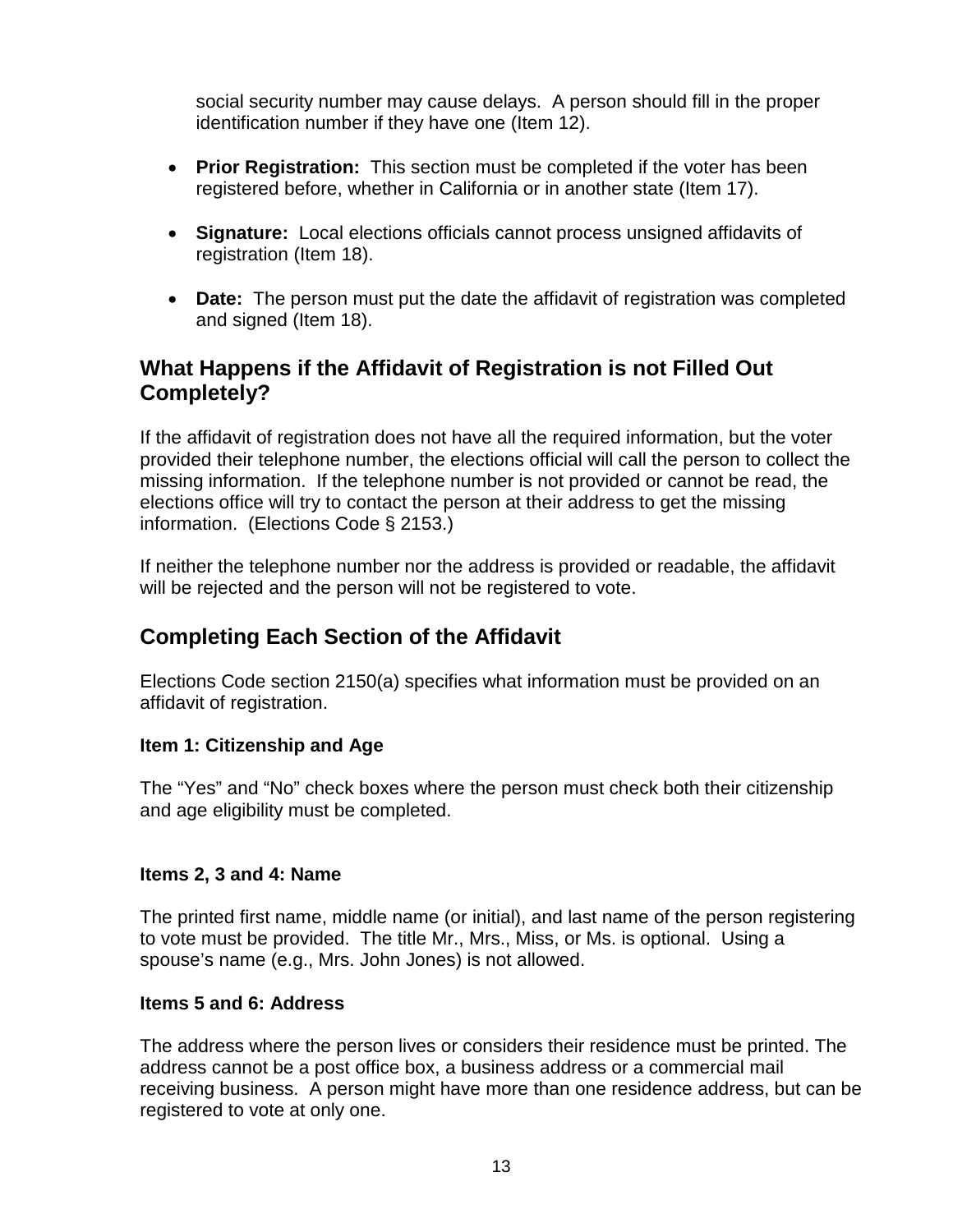social security number may cause delays. A person should fill in the proper identification number if they have one (Item 12).

- **Prior Registration:** This section must be completed if the voter has been registered before, whether in California or in another state (Item 17).
- **Signature:** Local elections officials cannot process unsigned affidavits of registration (Item 18).
- **Date:** The person must put the date the affidavit of registration was completed and signed (Item 18).

# **What Happens if the Affidavit of Registration is not Filled Out Completely?**

If the affidavit of registration does not have all the required information, but the voter provided their telephone number, the elections official will call the person to collect the missing information. If the telephone number is not provided or cannot be read, the elections office will try to contact the person at their address to get the missing information. (Elections Code § 2153.)

If neither the telephone number nor the address is provided or readable, the affidavit will be rejected and the person will not be registered to vote.

# **Completing Each Section of the Affidavit**

Elections Code section 2150(a) specifies what information must be provided on an affidavit of registration.

#### **Item 1: Citizenship and Age**

The "Yes" and "No" check boxes where the person must check both their citizenship and age eligibility must be completed.

#### **Items 2, 3 and 4: Name**

The printed first name, middle name (or initial), and last name of the person registering to vote must be provided. The title Mr., Mrs., Miss, or Ms. is optional. Using a spouse's name (e.g., Mrs. John Jones) is not allowed.

#### **Items 5 and 6: Address**

The address where the person lives or considers their residence must be printed. The address cannot be a post office box, a business address or a commercial mail receiving business. A person might have more than one residence address, but can be registered to vote at only one.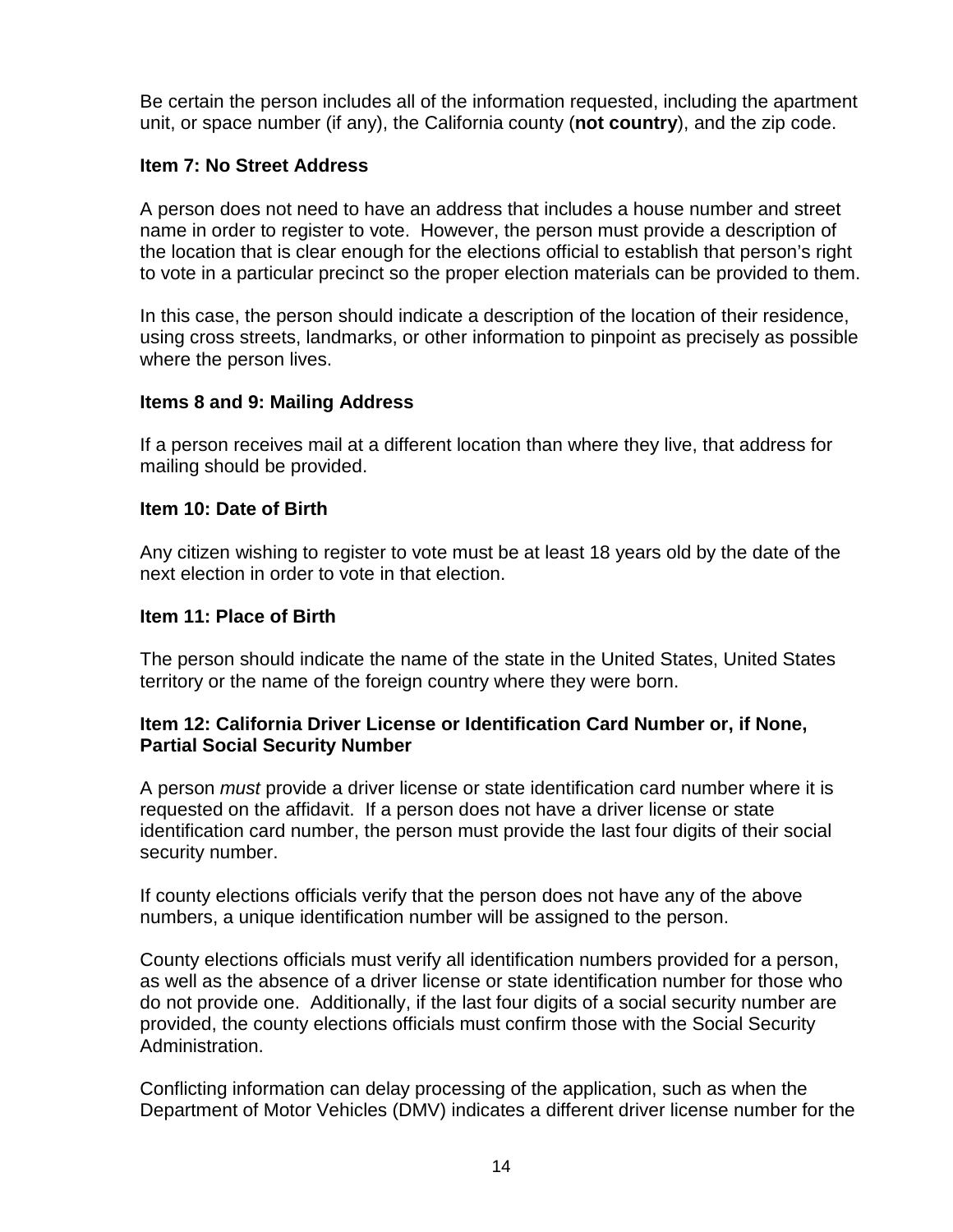Be certain the person includes all of the information requested, including the apartment unit, or space number (if any), the California county (**not country**), and the zip code.

#### **Item 7: No Street Address**

A person does not need to have an address that includes a house number and street name in order to register to vote. However, the person must provide a description of the location that is clear enough for the elections official to establish that person's right to vote in a particular precinct so the proper election materials can be provided to them.

In this case, the person should indicate a description of the location of their residence, using cross streets, landmarks, or other information to pinpoint as precisely as possible where the person lives.

#### **Items 8 and 9: Mailing Address**

If a person receives mail at a different location than where they live, that address for mailing should be provided.

#### **Item 10: Date of Birth**

Any citizen wishing to register to vote must be at least 18 years old by the date of the next election in order to vote in that election.

#### **Item 11: Place of Birth**

The person should indicate the name of the state in the United States, United States territory or the name of the foreign country where they were born.

#### **Item 12: California Driver License or Identification Card Number or, if None, Partial Social Security Number**

A person *must* provide a driver license or state identification card number where it is requested on the affidavit. If a person does not have a driver license or state identification card number, the person must provide the last four digits of their social security number.

If county elections officials verify that the person does not have any of the above numbers, a unique identification number will be assigned to the person.

County elections officials must verify all identification numbers provided for a person, as well as the absence of a driver license or state identification number for those who do not provide one. Additionally, if the last four digits of a social security number are provided, the county elections officials must confirm those with the Social Security Administration.

Conflicting information can delay processing of the application, such as when the Department of Motor Vehicles (DMV) indicates a different driver license number for the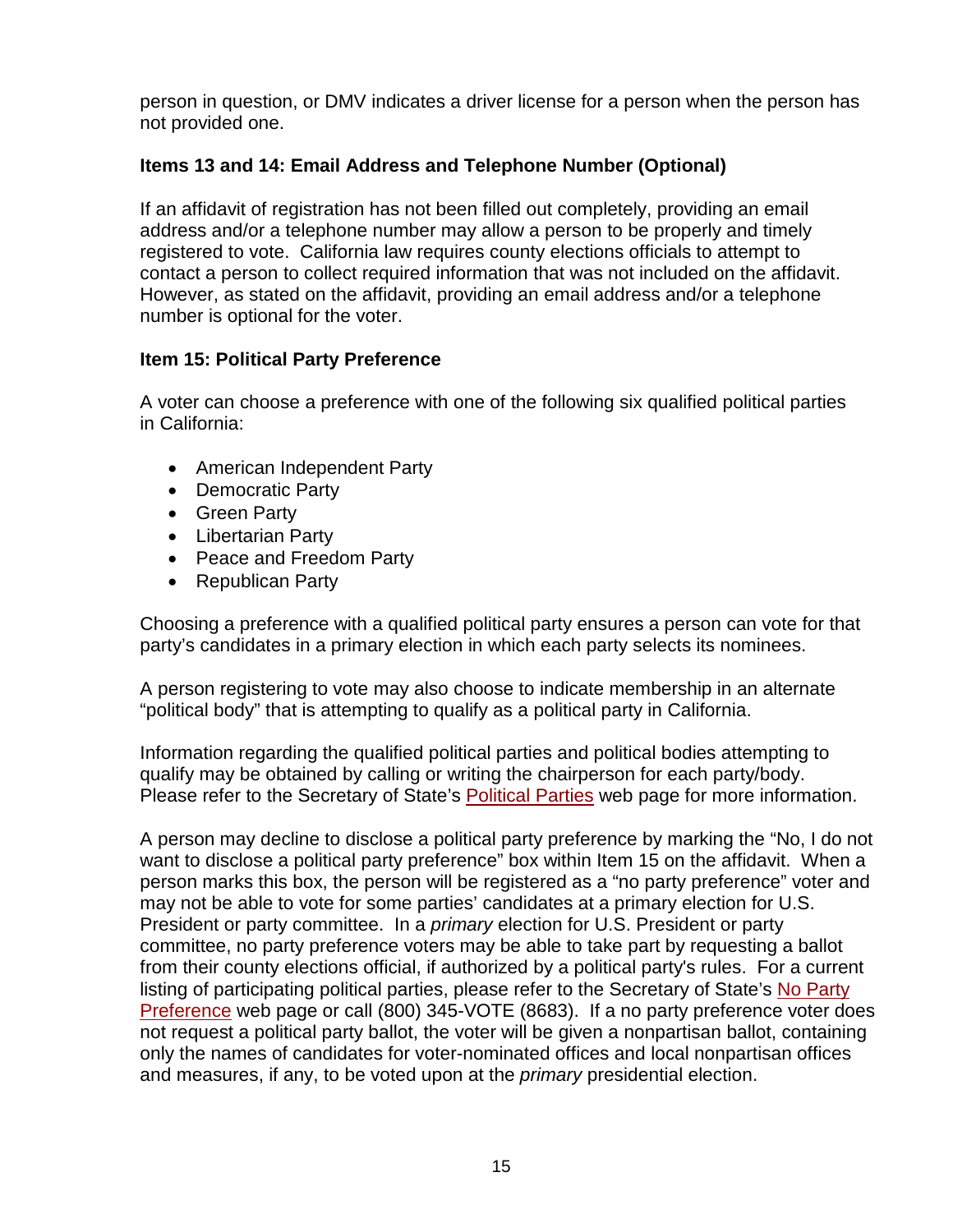person in question, or DMV indicates a driver license for a person when the person has not provided one.

#### **Items 13 and 14: Email Address and Telephone Number (Optional)**

If an affidavit of registration has not been filled out completely, providing an email address and/or a telephone number may allow a person to be properly and timely registered to vote. California law requires county elections officials to attempt to contact a person to collect required information that was not included on the affidavit. However, as stated on the affidavit, providing an email address and/or a telephone number is optional for the voter.

#### **Item 15: Political Party Preference**

A voter can choose a preference with one of the following six qualified political parties in California:

- American Independent Party
- Democratic Party
- Green Party
- Libertarian Party
- Peace and Freedom Party
- Republican Party

Choosing a preference with a qualified political party ensures a person can vote for that party's candidates in a primary election in which each party selects its nominees.

A person registering to vote may also choose to indicate membership in an alternate "political body" that is attempting to qualify as a political party in California.

Information regarding the qualified political parties and political bodies attempting to qualify may be obtained by calling or writing the chairperson for each party/body. Please refer to the Secretary of State's [Political Parties](http://www.sos.ca.gov/elections/political-parties/) web page for more information.

A person may decline to disclose a political party preference by marking the "No, I do not want to disclose a political party preference" box within Item 15 on the affidavit. When a person marks this box, the person will be registered as a "no party preference" voter and may not be able to vote for some parties' candidates at a primary election for U.S. President or party committee. In a *primary* election for U.S. President or party committee, no party preference voters may be able to take part by requesting a ballot from their county elections official, if authorized by a political party's rules. For a current listing of participating political parties, please refer to the Secretary of State's [No Party](http://www.sos.ca.gov/elections/political-parties/no-party-preference/)  [Preference](http://www.sos.ca.gov/elections/political-parties/no-party-preference/) web page or call (800) 345-VOTE (8683). If a no party preference voter does not request a political party ballot, the voter will be given a nonpartisan ballot, containing only the names of candidates for voter-nominated offices and local nonpartisan offices and measures, if any, to be voted upon at the *primary* presidential election.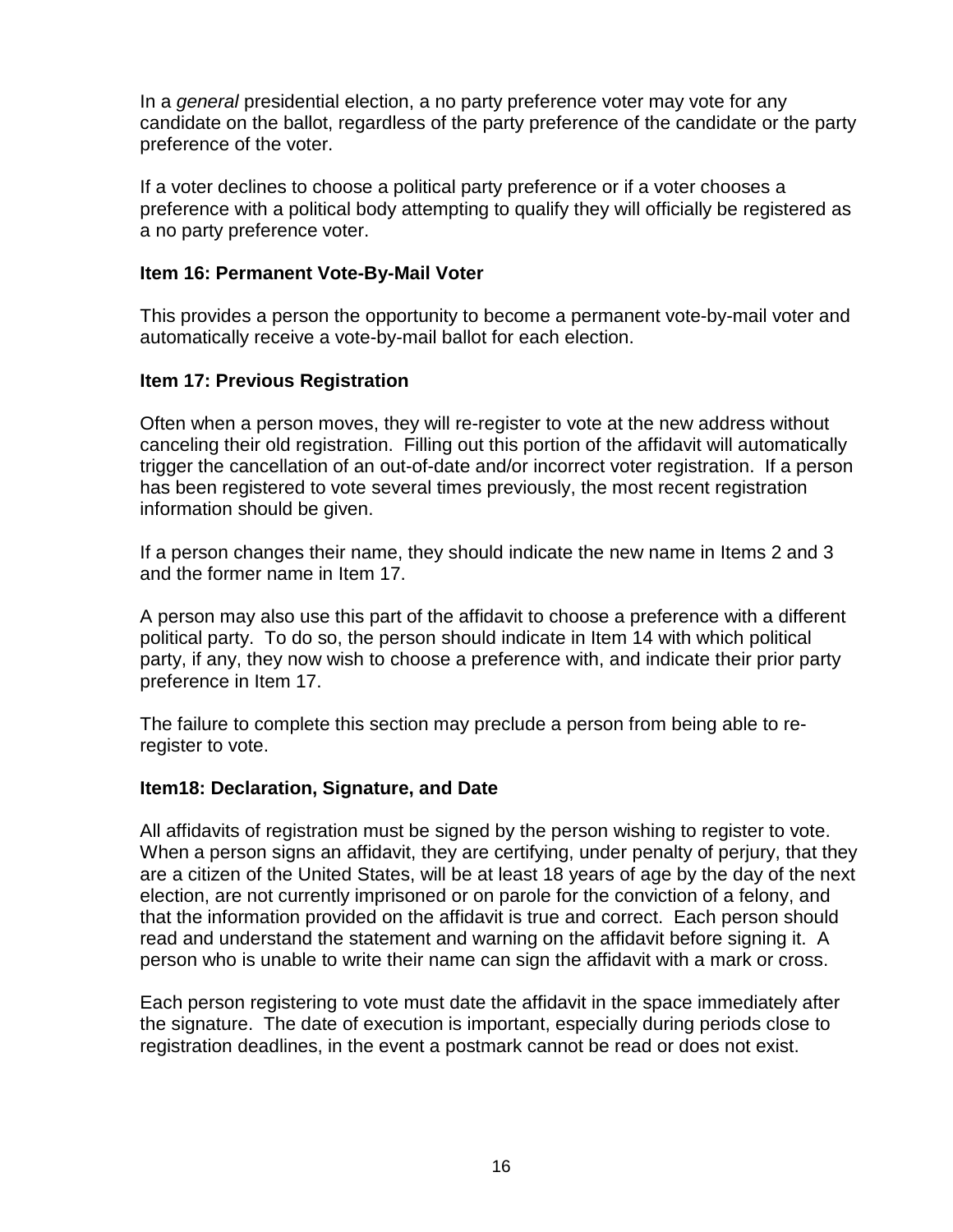In a *general* presidential election, a no party preference voter may vote for any candidate on the ballot, regardless of the party preference of the candidate or the party preference of the voter.

If a voter declines to choose a political party preference or if a voter chooses a preference with a political body attempting to qualify they will officially be registered as a no party preference voter.

#### **Item 16: Permanent Vote-By-Mail Voter**

This provides a person the opportunity to become a permanent vote-by-mail voter and automatically receive a vote-by-mail ballot for each election.

#### **Item 17: Previous Registration**

Often when a person moves, they will re-register to vote at the new address without canceling their old registration. Filling out this portion of the affidavit will automatically trigger the cancellation of an out-of-date and/or incorrect voter registration. If a person has been registered to vote several times previously, the most recent registration information should be given.

If a person changes their name, they should indicate the new name in Items 2 and 3 and the former name in Item 17.

A person may also use this part of the affidavit to choose a preference with a different political party. To do so, the person should indicate in Item 14 with which political party, if any, they now wish to choose a preference with, and indicate their prior party preference in Item 17.

The failure to complete this section may preclude a person from being able to reregister to vote.

#### **Item18: Declaration, Signature, and Date**

All affidavits of registration must be signed by the person wishing to register to vote. When a person signs an affidavit, they are certifying, under penalty of perjury, that they are a citizen of the United States, will be at least 18 years of age by the day of the next election, are not currently imprisoned or on parole for the conviction of a felony, and that the information provided on the affidavit is true and correct. Each person should read and understand the statement and warning on the affidavit before signing it. A person who is unable to write their name can sign the affidavit with a mark or cross.

Each person registering to vote must date the affidavit in the space immediately after the signature. The date of execution is important, especially during periods close to registration deadlines, in the event a postmark cannot be read or does not exist.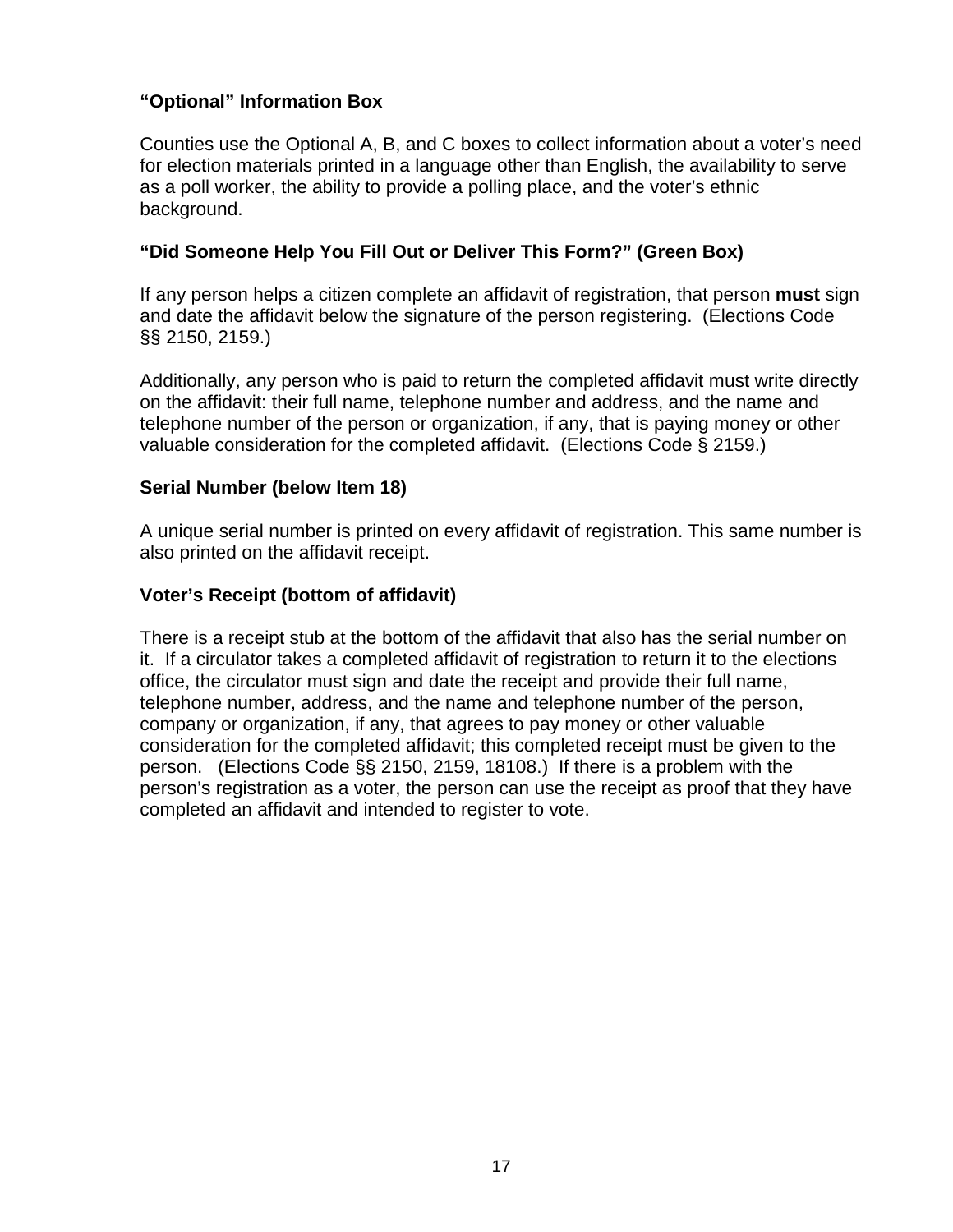#### **"Optional" Information Box**

Counties use the Optional A, B, and C boxes to collect information about a voter's need for election materials printed in a language other than English, the availability to serve as a poll worker, the ability to provide a polling place, and the voter's ethnic background.

#### **"Did Someone Help You Fill Out or Deliver This Form?" (Green Box)**

If any person helps a citizen complete an affidavit of registration, that person **must** sign and date the affidavit below the signature of the person registering. (Elections Code §§ 2150, 2159.)

Additionally, any person who is paid to return the completed affidavit must write directly on the affidavit: their full name, telephone number and address, and the name and telephone number of the person or organization, if any, that is paying money or other valuable consideration for the completed affidavit. (Elections Code § 2159.)

#### **Serial Number (below Item 18)**

A unique serial number is printed on every affidavit of registration. This same number is also printed on the affidavit receipt.

#### **Voter's Receipt (bottom of affidavit)**

There is a receipt stub at the bottom of the affidavit that also has the serial number on it. If a circulator takes a completed affidavit of registration to return it to the elections office, the circulator must sign and date the receipt and provide their full name, telephone number, address, and the name and telephone number of the person, company or organization, if any, that agrees to pay money or other valuable consideration for the completed affidavit; this completed receipt must be given to the person. (Elections Code §§ 2150, 2159, 18108.) If there is a problem with the person's registration as a voter, the person can use the receipt as proof that they have completed an affidavit and intended to register to vote.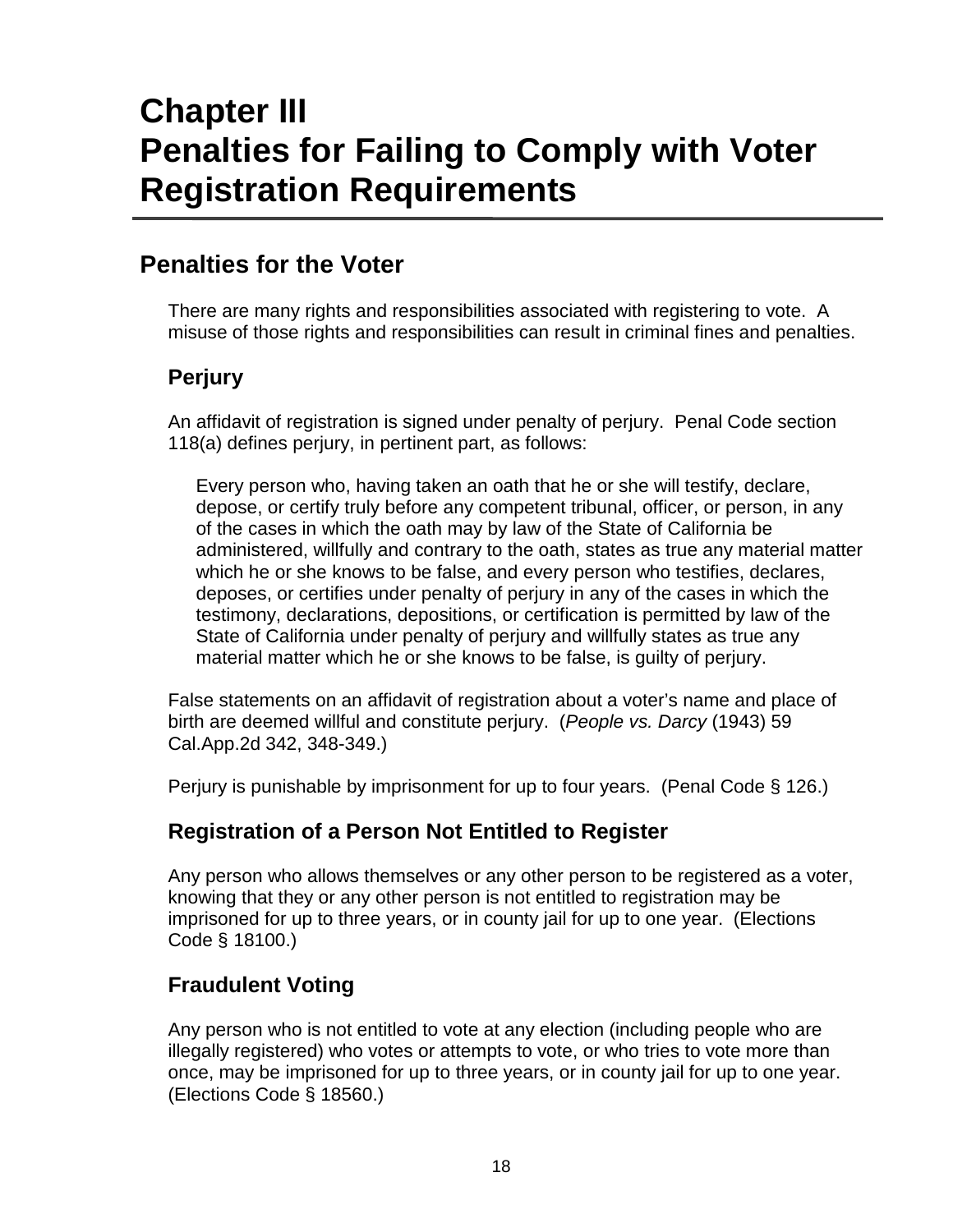# **Chapter III Penalties for Failing to Comply with Voter Registration Requirements**

# **Penalties for the Voter**

There are many rights and responsibilities associated with registering to vote. A misuse of those rights and responsibilities can result in criminal fines and penalties.

# **Perjury**

An affidavit of registration is signed under penalty of perjury. Penal Code section 118(a) defines perjury, in pertinent part, as follows:

Every person who, having taken an oath that he or she will testify, declare, depose, or certify truly before any competent tribunal, officer, or person, in any of the cases in which the oath may by law of the State of California be administered, willfully and contrary to the oath, states as true any material matter which he or she knows to be false, and every person who testifies, declares, deposes, or certifies under penalty of perjury in any of the cases in which the testimony, declarations, depositions, or certification is permitted by law of the State of California under penalty of perjury and willfully states as true any material matter which he or she knows to be false, is guilty of perjury.

False statements on an affidavit of registration about a voter's name and place of birth are deemed willful and constitute perjury. (*People vs. Darcy* (1943) 59 Cal.App.2d 342, 348-349.)

Perjury is punishable by imprisonment for up to four years. (Penal Code § 126.)

# **Registration of a Person Not Entitled to Register**

Any person who allows themselves or any other person to be registered as a voter, knowing that they or any other person is not entitled to registration may be imprisoned for up to three years, or in county jail for up to one year. (Elections Code § 18100.)

# **Fraudulent Voting**

Any person who is not entitled to vote at any election (including people who are illegally registered) who votes or attempts to vote, or who tries to vote more than once, may be imprisoned for up to three years, or in county jail for up to one year. (Elections Code § 18560.)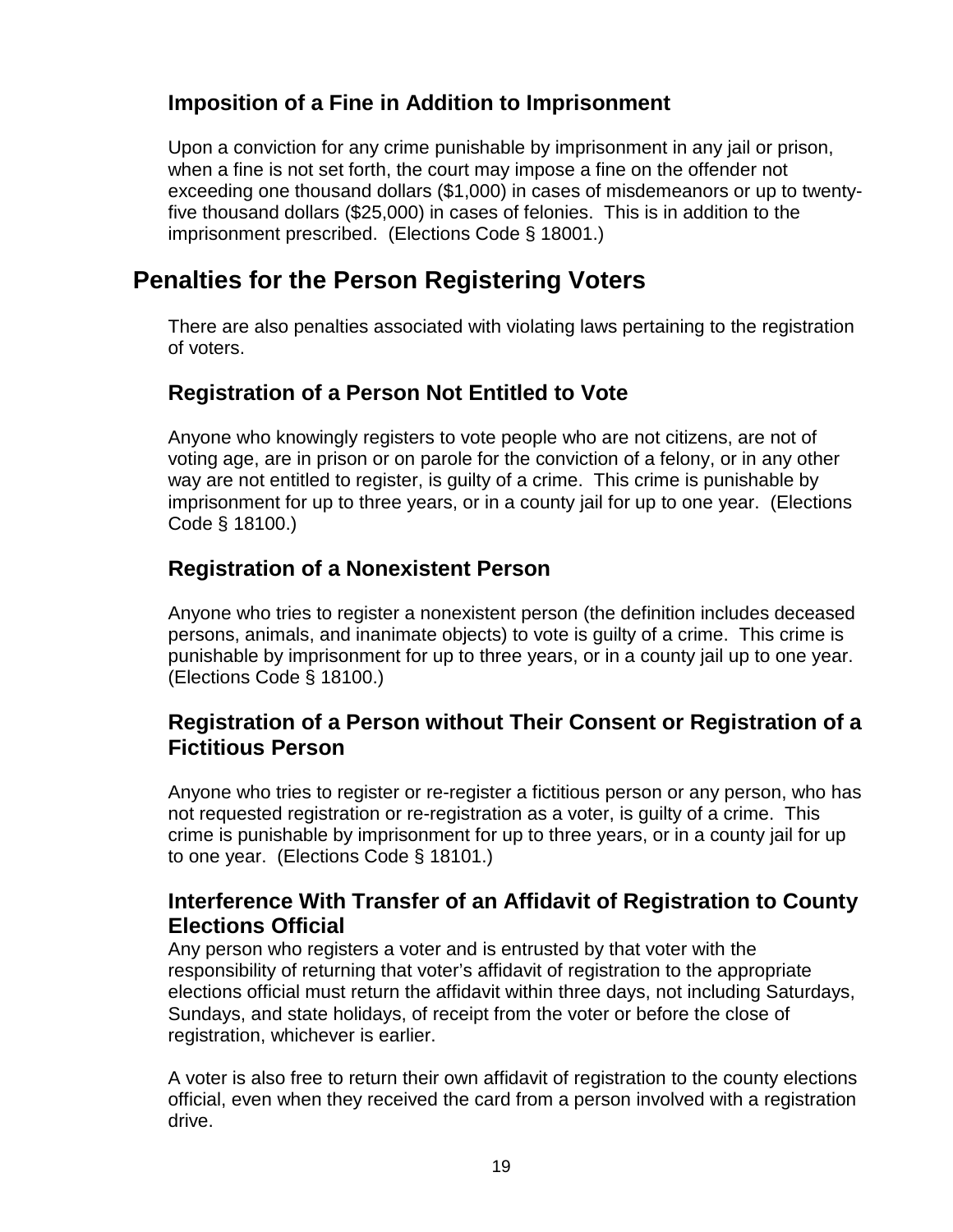# **Imposition of a Fine in Addition to Imprisonment**

Upon a conviction for any crime punishable by imprisonment in any jail or prison, when a fine is not set forth, the court may impose a fine on the offender not exceeding one thousand dollars (\$1,000) in cases of misdemeanors or up to twentyfive thousand dollars (\$25,000) in cases of felonies. This is in addition to the imprisonment prescribed. (Elections Code § 18001.)

# **Penalties for the Person Registering Voters**

There are also penalties associated with violating laws pertaining to the registration of voters.

# **Registration of a Person Not Entitled to Vote**

Anyone who knowingly registers to vote people who are not citizens, are not of voting age, are in prison or on parole for the conviction of a felony, or in any other way are not entitled to register, is guilty of a crime. This crime is punishable by imprisonment for up to three years, or in a county jail for up to one year. (Elections Code § 18100.)

# **Registration of a Nonexistent Person**

Anyone who tries to register a nonexistent person (the definition includes deceased persons, animals, and inanimate objects) to vote is guilty of a crime. This crime is punishable by imprisonment for up to three years, or in a county jail up to one year. (Elections Code § 18100.)

# **Registration of a Person without Their Consent or Registration of a Fictitious Person**

Anyone who tries to register or re-register a fictitious person or any person, who has not requested registration or re-registration as a voter, is guilty of a crime. This crime is punishable by imprisonment for up to three years, or in a county jail for up to one year. (Elections Code § 18101.)

# **Interference With Transfer of an Affidavit of Registration to County Elections Official**

Any person who registers a voter and is entrusted by that voter with the responsibility of returning that voter's affidavit of registration to the appropriate elections official must return the affidavit within three days, not including Saturdays, Sundays, and state holidays, of receipt from the voter or before the close of registration, whichever is earlier.

A voter is also free to return their own affidavit of registration to the county elections official, even when they received the card from a person involved with a registration drive.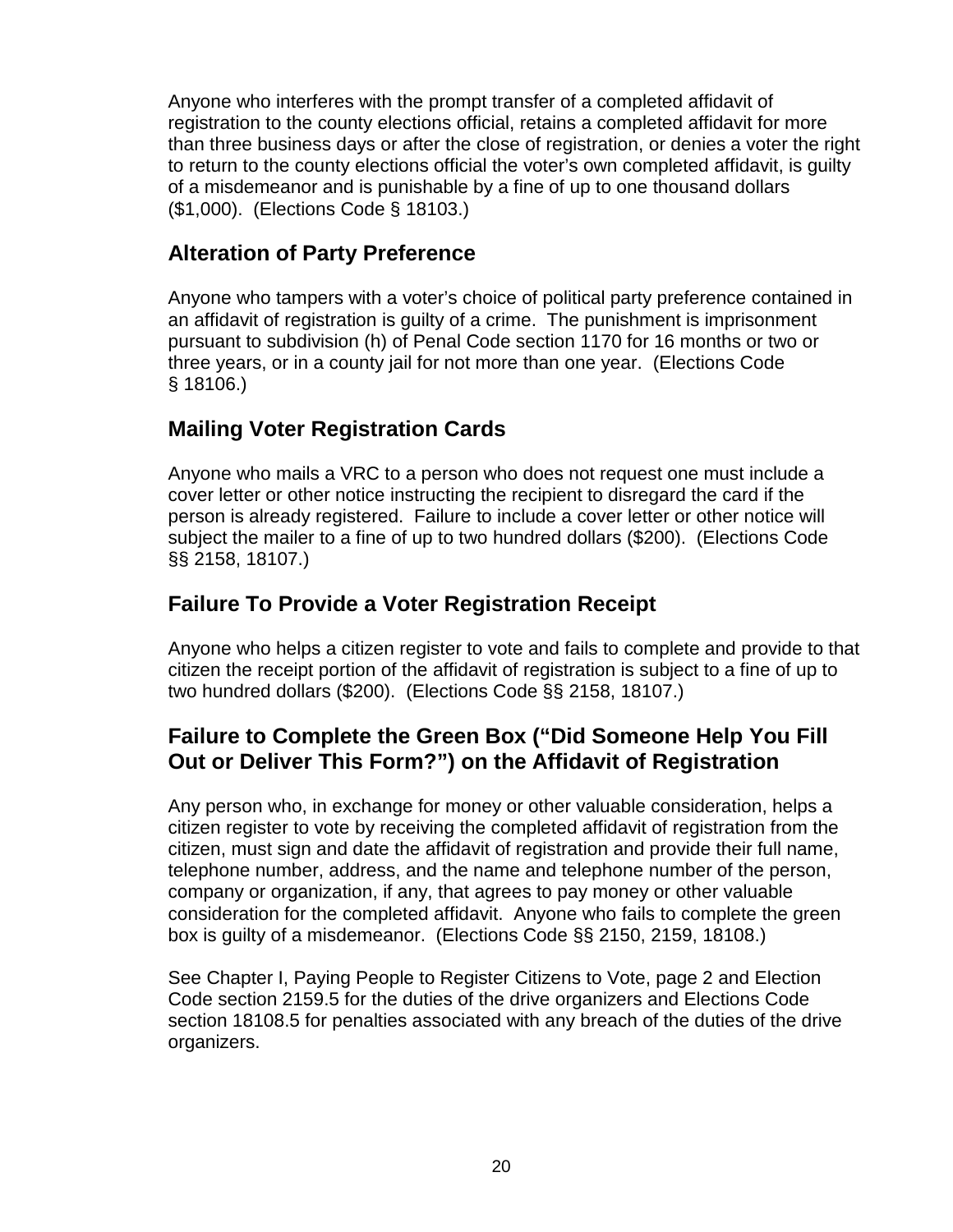Anyone who interferes with the prompt transfer of a completed affidavit of registration to the county elections official, retains a completed affidavit for more than three business days or after the close of registration, or denies a voter the right to return to the county elections official the voter's own completed affidavit, is guilty of a misdemeanor and is punishable by a fine of up to one thousand dollars (\$1,000). (Elections Code § 18103.)

# **Alteration of Party Preference**

Anyone who tampers with a voter's choice of political party preference contained in an affidavit of registration is guilty of a crime. The punishment is imprisonment pursuant to subdivision (h) of Penal Code section 1170 for 16 months or two or three years, or in a county jail for not more than one year. (Elections Code § 18106.)

# **Mailing Voter Registration Cards**

Anyone who mails a VRC to a person who does not request one must include a cover letter or other notice instructing the recipient to disregard the card if the person is already registered. Failure to include a cover letter or other notice will subject the mailer to a fine of up to two hundred dollars (\$200). (Elections Code §§ 2158, 18107.)

# **Failure To Provide a Voter Registration Receipt**

Anyone who helps a citizen register to vote and fails to complete and provide to that citizen the receipt portion of the affidavit of registration is subject to a fine of up to two hundred dollars (\$200). (Elections Code §§ 2158, 18107.)

# **Failure to Complete the Green Box ("Did Someone Help You Fill Out or Deliver This Form?") on the Affidavit of Registration**

Any person who, in exchange for money or other valuable consideration, helps a citizen register to vote by receiving the completed affidavit of registration from the citizen, must sign and date the affidavit of registration and provide their full name, telephone number, address, and the name and telephone number of the person, company or organization, if any, that agrees to pay money or other valuable consideration for the completed affidavit. Anyone who fails to complete the green box is guilty of a misdemeanor. (Elections Code §§ 2150, 2159, 18108.)

See Chapter I, Paying People to Register Citizens to Vote, page 2 and Election Code section 2159.5 for the duties of the drive organizers and Elections Code section 18108.5 for penalties associated with any breach of the duties of the drive organizers.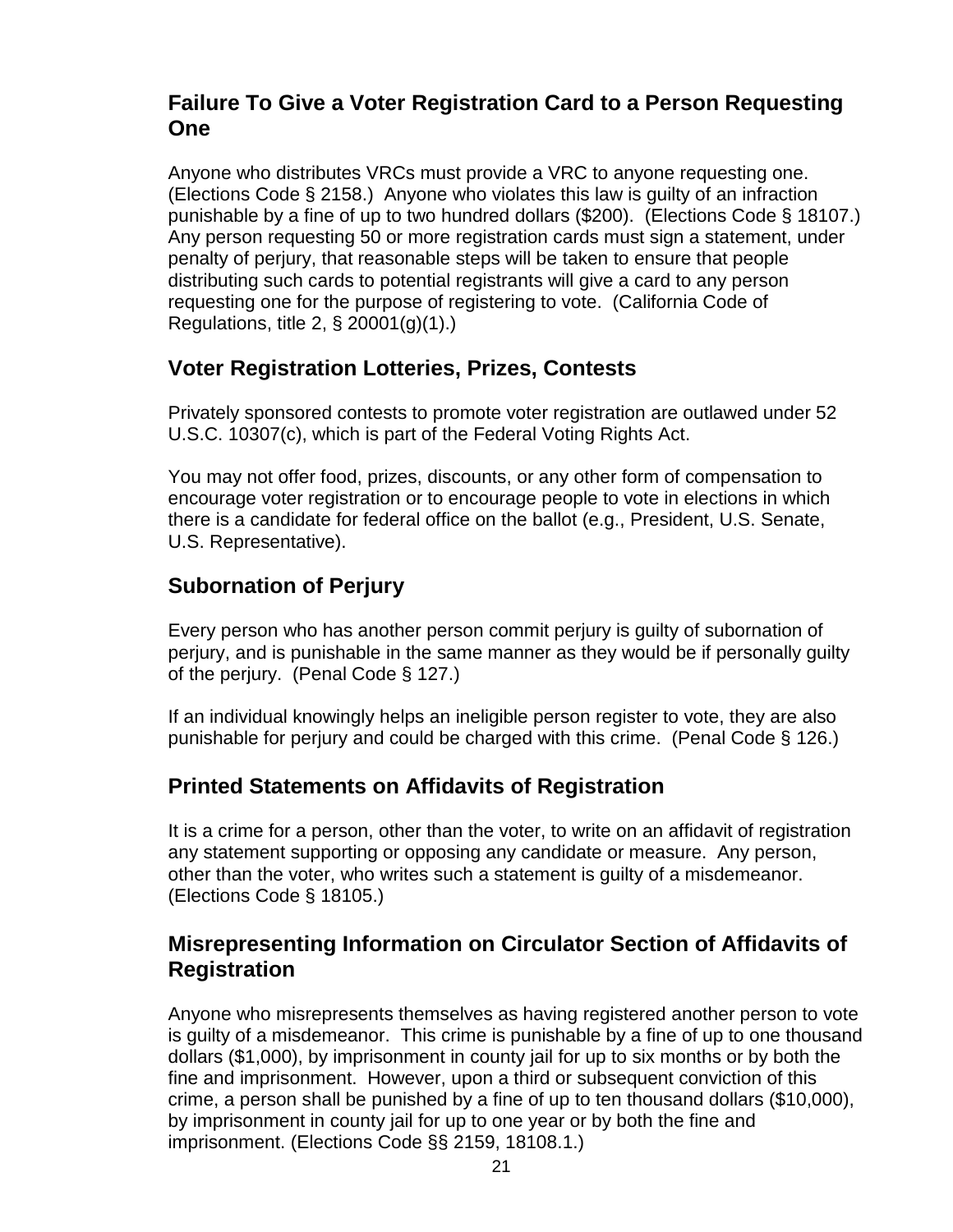# **Failure To Give a Voter Registration Card to a Person Requesting One**

Anyone who distributes VRCs must provide a VRC to anyone requesting one. (Elections Code § 2158.) Anyone who violates this law is guilty of an infraction punishable by a fine of up to two hundred dollars (\$200). (Elections Code § 18107.) Any person requesting 50 or more registration cards must sign a statement, under penalty of perjury, that reasonable steps will be taken to ensure that people distributing such cards to potential registrants will give a card to any person requesting one for the purpose of registering to vote. (California Code of Regulations, title 2, § 20001(g)(1).)

## **Voter Registration Lotteries, Prizes, Contests**

Privately sponsored contests to promote voter registration are outlawed under 52 U.S.C. 10307(c), which is part of the Federal Voting Rights Act.

You may not offer food, prizes, discounts, or any other form of compensation to encourage voter registration or to encourage people to vote in elections in which there is a candidate for federal office on the ballot (e.g., President, U.S. Senate, U.S. Representative).

## **Subornation of Perjury**

Every person who has another person commit perjury is guilty of subornation of perjury, and is punishable in the same manner as they would be if personally guilty of the perjury. (Penal Code § 127.)

If an individual knowingly helps an ineligible person register to vote, they are also punishable for perjury and could be charged with this crime. (Penal Code § 126.)

# **Printed Statements on Affidavits of Registration**

It is a crime for a person, other than the voter, to write on an affidavit of registration any statement supporting or opposing any candidate or measure. Any person, other than the voter, who writes such a statement is guilty of a misdemeanor. (Elections Code § 18105.)

## **Misrepresenting Information on Circulator Section of Affidavits of Registration**

Anyone who misrepresents themselves as having registered another person to vote is guilty of a misdemeanor. This crime is punishable by a fine of up to one thousand dollars (\$1,000), by imprisonment in county jail for up to six months or by both the fine and imprisonment. However, upon a third or subsequent conviction of this crime, a person shall be punished by a fine of up to ten thousand dollars (\$10,000), by imprisonment in county jail for up to one year or by both the fine and imprisonment. (Elections Code §§ 2159, 18108.1.)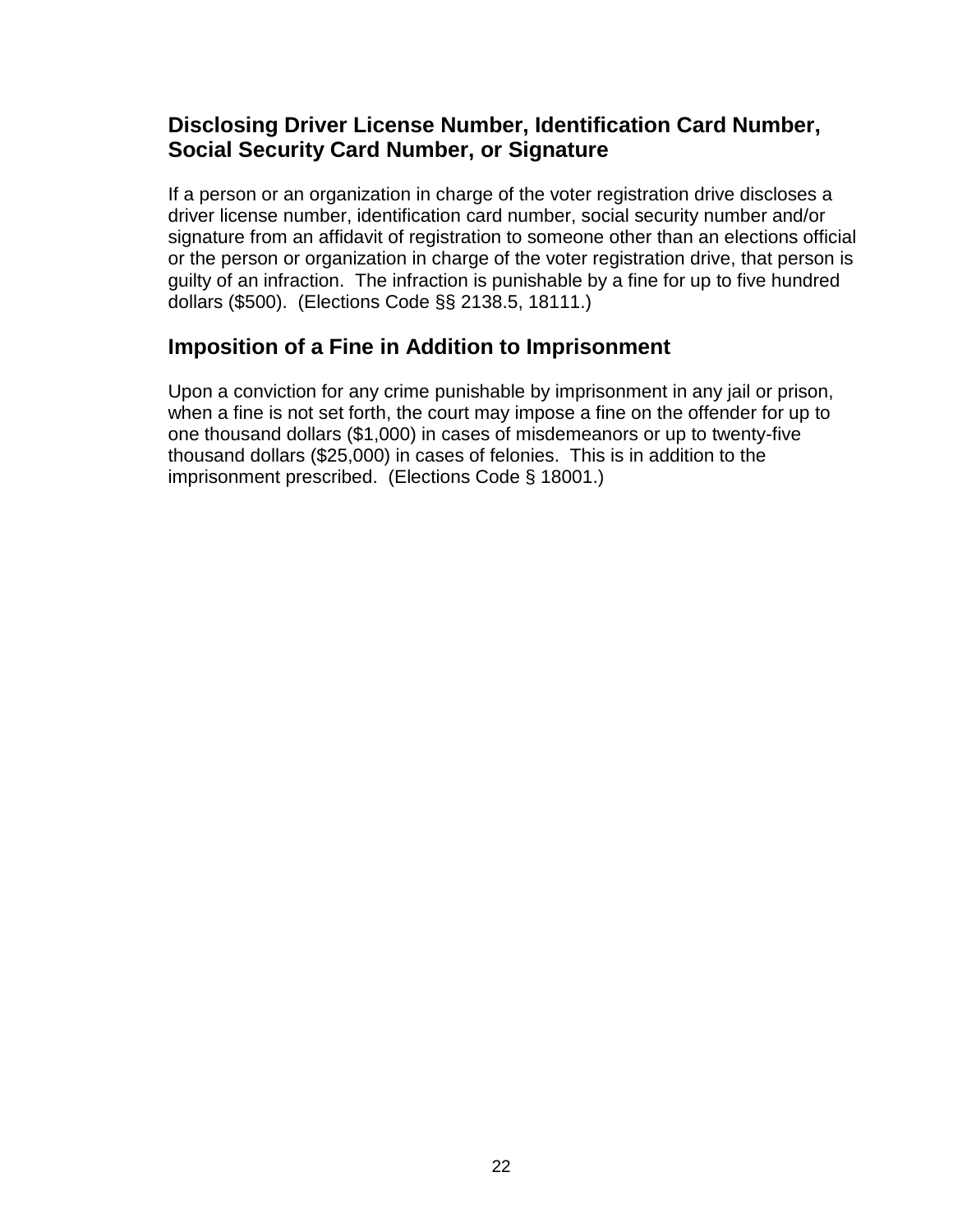# **Disclosing Driver License Number, Identification Card Number, Social Security Card Number, or Signature**

If a person or an organization in charge of the voter registration drive discloses a driver license number, identification card number, social security number and/or signature from an affidavit of registration to someone other than an elections official or the person or organization in charge of the voter registration drive, that person is guilty of an infraction. The infraction is punishable by a fine for up to five hundred dollars (\$500). (Elections Code §§ 2138.5, 18111.)

# **Imposition of a Fine in Addition to Imprisonment**

Upon a conviction for any crime punishable by imprisonment in any jail or prison, when a fine is not set forth, the court may impose a fine on the offender for up to one thousand dollars (\$1,000) in cases of misdemeanors or up to twenty-five thousand dollars (\$25,000) in cases of felonies. This is in addition to the imprisonment prescribed. (Elections Code § 18001.)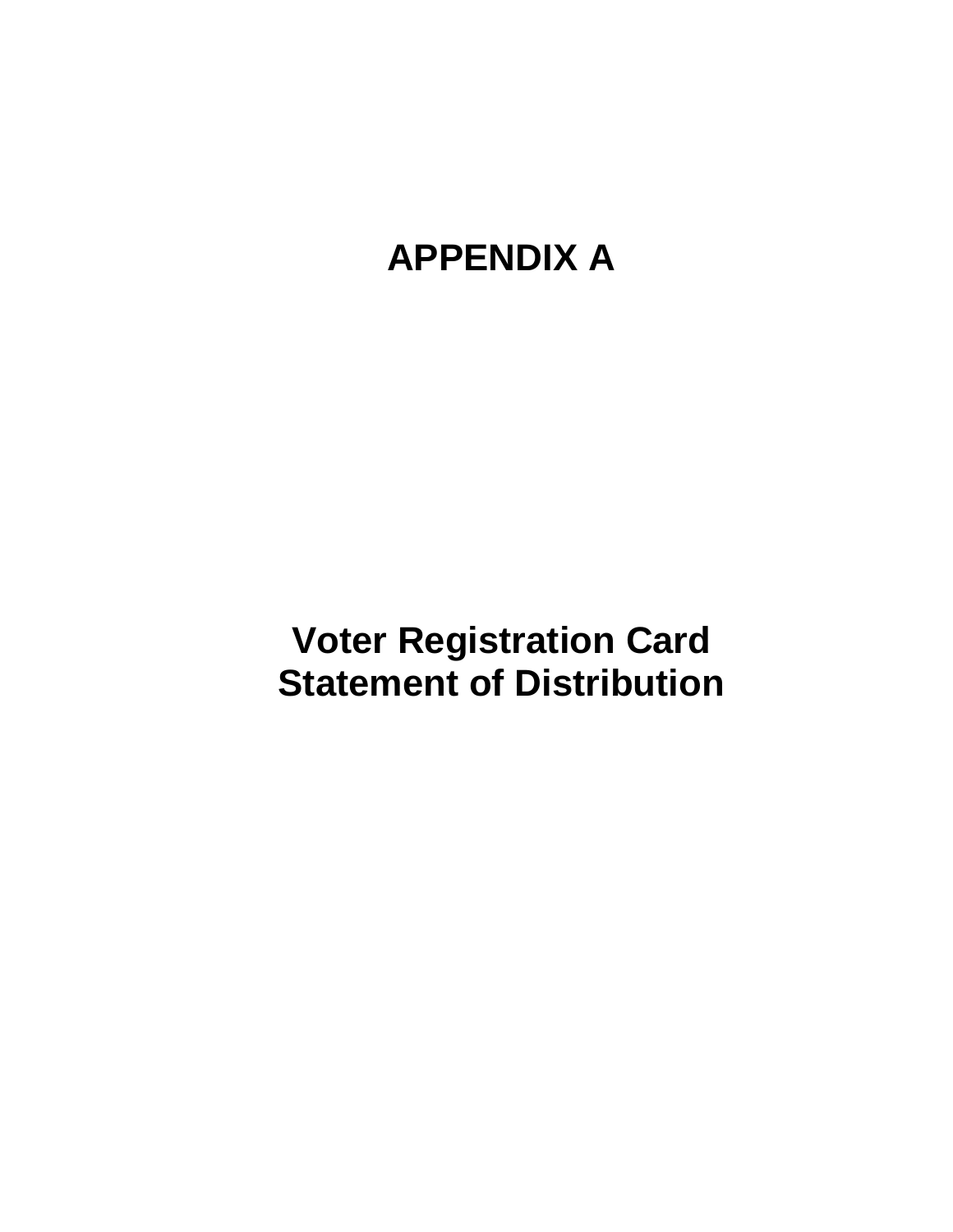# **APPENDIX A**

**Voter Registration Card Statement of Distribution**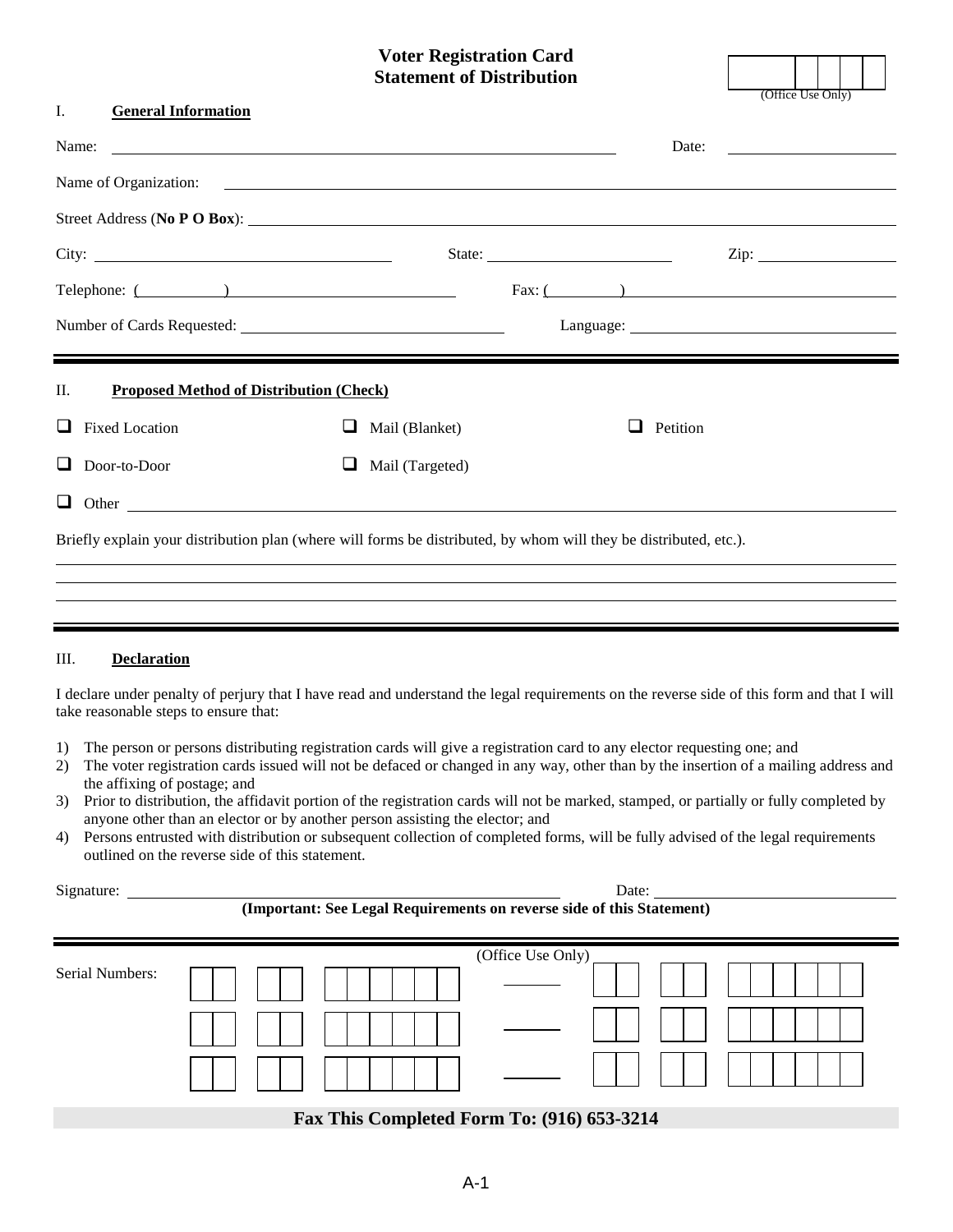# **Voter Registration Card Statement of Distribution** (Office Use Only)

| I.<br><b>General Information</b>                                                                                                                                                                                                     |                     |                                                            |  |
|--------------------------------------------------------------------------------------------------------------------------------------------------------------------------------------------------------------------------------------|---------------------|------------------------------------------------------------|--|
| Name:<br><u> 1989 - Jan Samuel Barbara, margaret eta idazlearia (h. 1989).</u>                                                                                                                                                       |                     | Date:<br><u> 1980 - Jan Samuel Barbara, politik e</u> ta p |  |
| Name of Organization: <u>contract the contract of the contract of the contract of the contract of the contract of the contract of the contract of the contract of the contract of the contract of the contract of the contract o</u> |                     |                                                            |  |
|                                                                                                                                                                                                                                      |                     | Street Address (No P O Box):                               |  |
| City:                                                                                                                                                                                                                                |                     | State:                                                     |  |
| Telephone: ( )                                                                                                                                                                                                                       |                     | Fax: (                                                     |  |
|                                                                                                                                                                                                                                      |                     |                                                            |  |
|                                                                                                                                                                                                                                      |                     |                                                            |  |
| П.<br><b>Proposed Method of Distribution (Check)</b>                                                                                                                                                                                 |                     |                                                            |  |
| <b>Fixed Location</b>                                                                                                                                                                                                                | Mail (Blanket)<br>ப | Petition<br>$\Box$                                         |  |
| Door-to-Door                                                                                                                                                                                                                         | Mail (Targeted)     |                                                            |  |
|                                                                                                                                                                                                                                      |                     |                                                            |  |
| Briefly explain your distribution plan (where will forms be distributed, by whom will they be distributed, etc.).                                                                                                                    |                     |                                                            |  |
|                                                                                                                                                                                                                                      |                     |                                                            |  |

#### III. **Declaration**

I declare under penalty of perjury that I have read and understand the legal requirements on the reverse side of this form and that I will take reasonable steps to ensure that:

- 1) The person or persons distributing registration cards will give a registration card to any elector requesting one; and
- 2) The voter registration cards issued will not be defaced or changed in any way, other than by the insertion of a mailing address and the affixing of postage; and
- 3) Prior to distribution, the affidavit portion of the registration cards will not be marked, stamped, or partially or fully completed by anyone other than an elector or by another person assisting the elector; and
- 4) Persons entrusted with distribution or subsequent collection of completed forms, will be fully advised of the legal requirements outlined on the reverse side of this statement.

| $\sim$<br>Signature: | Date. |
|----------------------|-------|
|                      |       |

**(Important: See Legal Requirements on reverse side of this Statement)**

| Serial Numbers: | (Office Use Only) |
|-----------------|-------------------|
|                 |                   |
|                 |                   |

#### **Fax This Completed Form To: (916) 653-3214**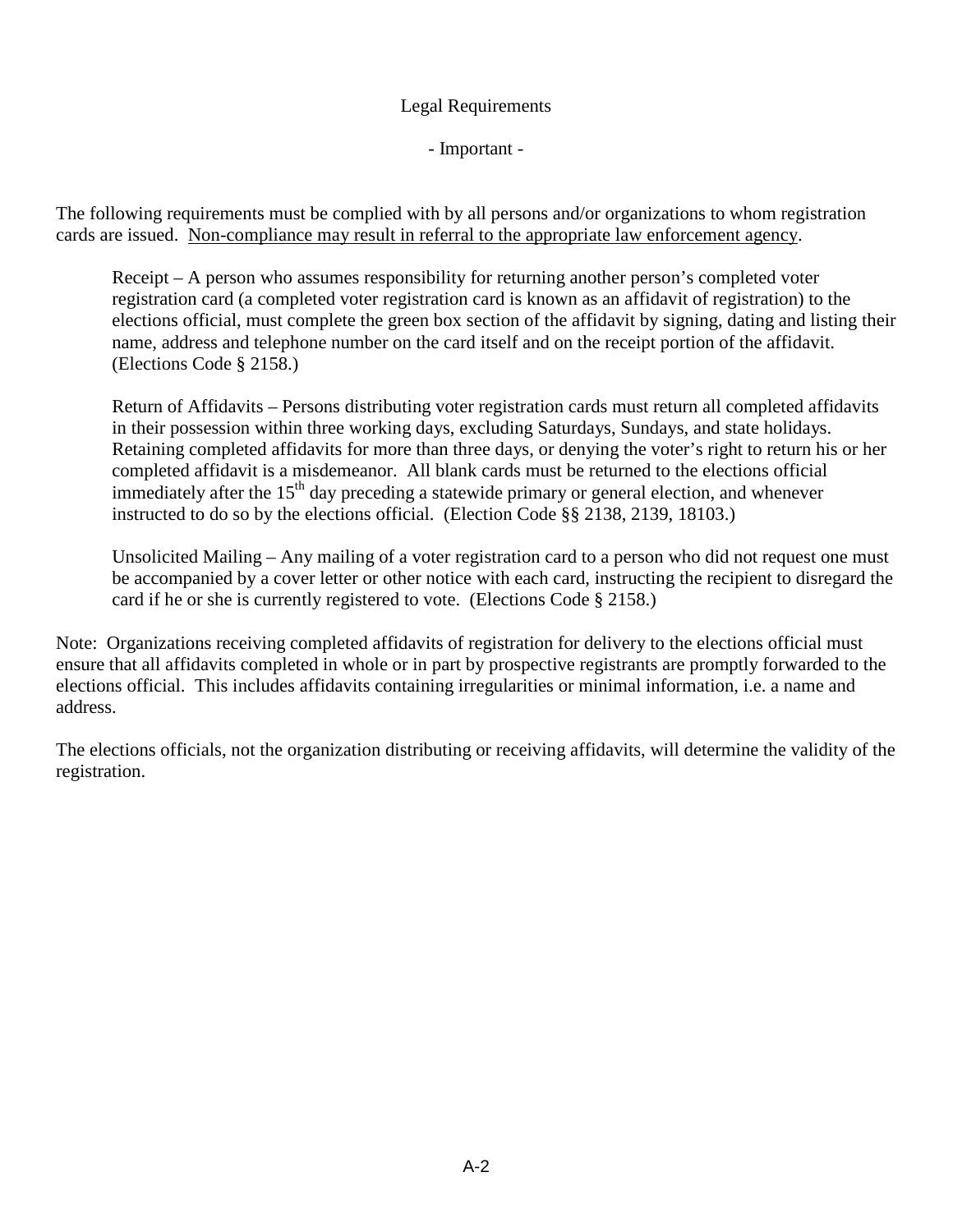#### Legal Requirements

- Important -

The following requirements must be complied with by all persons and/or organizations to whom registration cards are issued. Non-compliance may result in referral to the appropriate law enforcement agency.

Receipt – A person who assumes responsibility for returning another person's completed voter registration card (a completed voter registration card is known as an affidavit of registration) to the elections official, must complete the green box section of the affidavit by signing, dating and listing their name, address and telephone number on the card itself and on the receipt portion of the affidavit. (Elections Code § 2158.)

Return of Affidavits – Persons distributing voter registration cards must return all completed affidavits in their possession within three working days, excluding Saturdays, Sundays, and state holidays. Retaining completed affidavits for more than three days, or denying the voter's right to return his or her completed affidavit is a misdemeanor. All blank cards must be returned to the elections official immediately after the  $15<sup>th</sup>$  day preceding a statewide primary or general election, and whenever instructed to do so by the elections official. (Election Code §§ 2138, 2139, 18103.)

Unsolicited Mailing – Any mailing of a voter registration card to a person who did not request one must be accompanied by a cover letter or other notice with each card, instructing the recipient to disregard the card if he or she is currently registered to vote. (Elections Code § 2158.)

Note: Organizations receiving completed affidavits of registration for delivery to the elections official must ensure that all affidavits completed in whole or in part by prospective registrants are promptly forwarded to the elections official. This includes affidavits containing irregularities or minimal information, i.e. a name and address.

The elections officials, not the organization distributing or receiving affidavits, will determine the validity of the registration.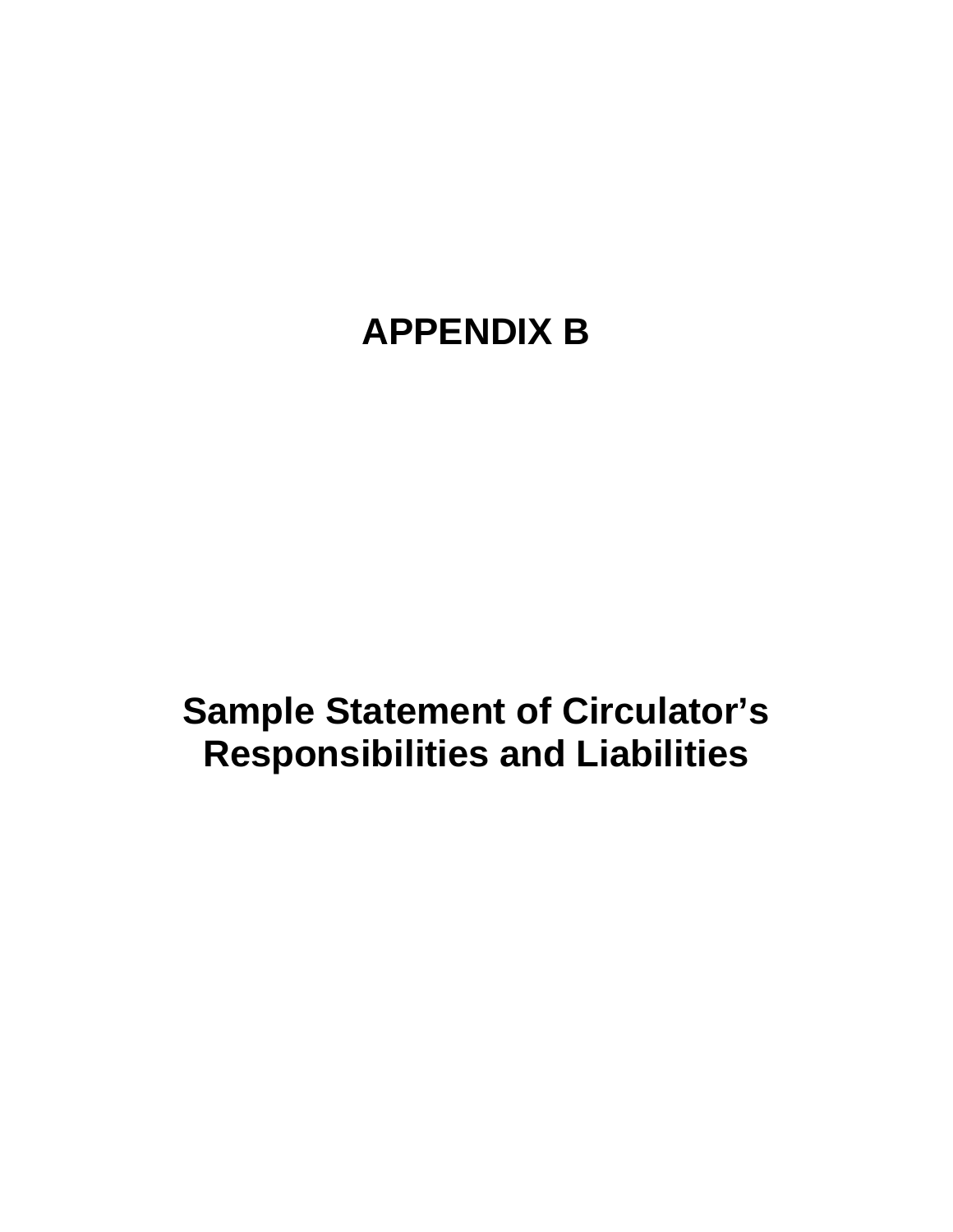# **APPENDIX B**

**Sample Statement of Circulator's Responsibilities and Liabilities**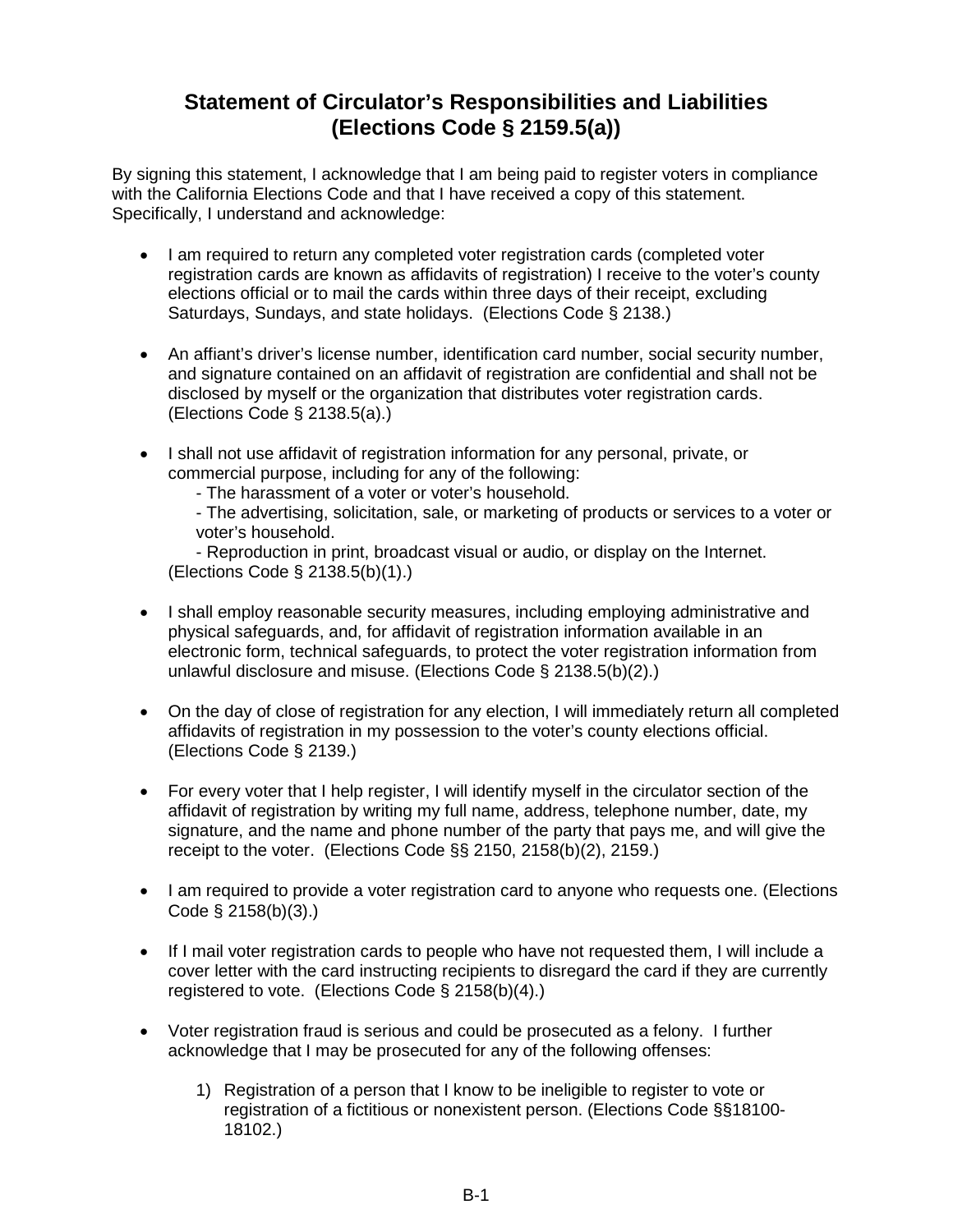# **Statement of Circulator's Responsibilities and Liabilities (Elections Code § 2159.5(a))**

By signing this statement, I acknowledge that I am being paid to register voters in compliance with the California Elections Code and that I have received a copy of this statement. Specifically, I understand and acknowledge:

- I am required to return any completed voter registration cards (completed voter registration cards are known as affidavits of registration) I receive to the voter's county elections official or to mail the cards within three days of their receipt, excluding Saturdays, Sundays, and state holidays. (Elections Code § 2138.)
- An affiant's driver's license number, identification card number, social security number, and signature contained on an affidavit of registration are confidential and shall not be disclosed by myself or the organization that distributes voter registration cards. (Elections Code § 2138.5(a).)
- I shall not use affidavit of registration information for any personal, private, or commercial purpose, including for any of the following:

- The harassment of a voter or voter's household.

- The advertising, solicitation, sale, or marketing of products or services to a voter or voter's household.

- Reproduction in print, broadcast visual or audio, or display on the Internet. (Elections Code § 2138.5(b)(1).)

- I shall employ reasonable security measures, including employing administrative and physical safeguards, and, for affidavit of registration information available in an electronic form, technical safeguards, to protect the voter registration information from unlawful disclosure and misuse. (Elections Code § 2138.5(b)(2).)
- On the day of close of registration for any election, I will immediately return all completed affidavits of registration in my possession to the voter's county elections official. (Elections Code § 2139.)
- For every voter that I help register, I will identify myself in the circulator section of the affidavit of registration by writing my full name, address, telephone number, date, my signature, and the name and phone number of the party that pays me, and will give the receipt to the voter. (Elections Code §§ 2150, 2158(b)(2), 2159.)
- I am required to provide a voter registration card to anyone who requests one. (Elections Code § 2158(b)(3).)
- If I mail voter registration cards to people who have not requested them, I will include a cover letter with the card instructing recipients to disregard the card if they are currently registered to vote. (Elections Code § 2158(b)(4).)
- Voter registration fraud is serious and could be prosecuted as a felony. I further acknowledge that I may be prosecuted for any of the following offenses:
	- 1) Registration of a person that I know to be ineligible to register to vote or registration of a fictitious or nonexistent person. (Elections Code §§18100- 18102.)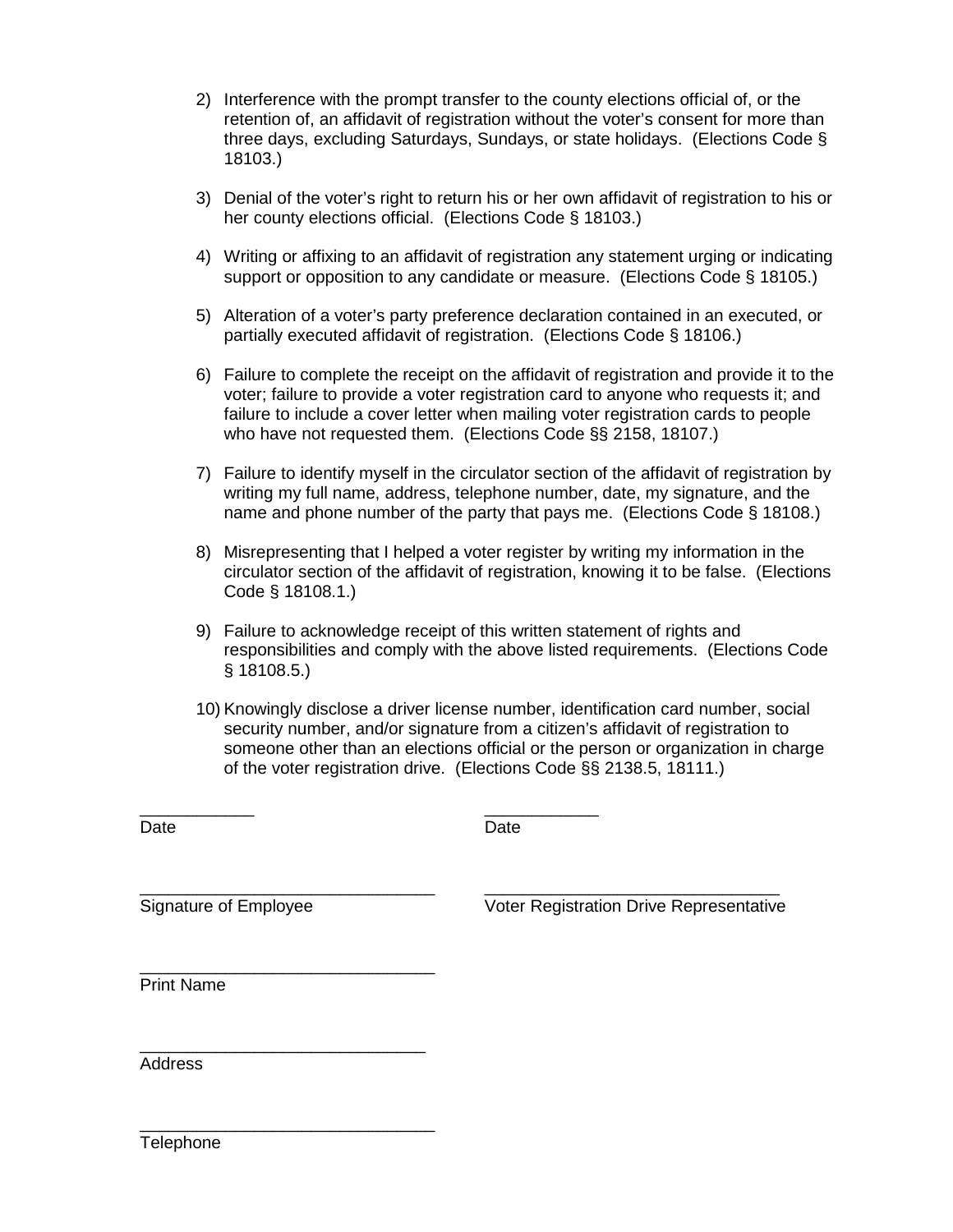- 2) Interference with the prompt transfer to the county elections official of, or the retention of, an affidavit of registration without the voter's consent for more than three days, excluding Saturdays, Sundays, or state holidays. (Elections Code § 18103.)
- 3) Denial of the voter's right to return his or her own affidavit of registration to his or her county elections official. (Elections Code § 18103.)
- 4) Writing or affixing to an affidavit of registration any statement urging or indicating support or opposition to any candidate or measure. (Elections Code § 18105.)
- 5) Alteration of a voter's party preference declaration contained in an executed, or partially executed affidavit of registration. (Elections Code § 18106.)
- 6) Failure to complete the receipt on the affidavit of registration and provide it to the voter; failure to provide a voter registration card to anyone who requests it; and failure to include a cover letter when mailing voter registration cards to people who have not requested them. (Elections Code §§ 2158, 18107.)
- 7) Failure to identify myself in the circulator section of the affidavit of registration by writing my full name, address, telephone number, date, my signature, and the name and phone number of the party that pays me. (Elections Code § 18108.)
- 8) Misrepresenting that I helped a voter register by writing my information in the circulator section of the affidavit of registration, knowing it to be false. (Elections Code § 18108.1.)
- 9) Failure to acknowledge receipt of this written statement of rights and responsibilities and comply with the above listed requirements. (Elections Code § 18108.5.)
- 10) Knowingly disclose a driver license number, identification card number, social security number, and/or signature from a citizen's affidavit of registration to someone other than an elections official or the person or organization in charge of the voter registration drive. (Elections Code §§ 2138.5, 18111.)

Date

 $\overline{\phantom{a}}$ 

\_\_\_\_\_\_\_\_\_\_\_\_ **Date** 

\_\_\_\_\_\_\_\_\_\_\_\_\_\_\_\_\_\_\_\_\_\_\_\_\_\_\_\_\_\_\_ Signature of Employee

\_\_\_\_\_\_\_\_\_\_\_\_\_\_\_\_\_\_\_\_\_\_\_\_\_\_\_\_\_\_

\_\_\_\_\_\_\_\_\_\_\_\_\_\_\_\_\_\_\_\_\_\_\_\_\_\_\_\_\_\_\_ Voter Registration Drive Representative

\_\_\_\_\_\_\_\_\_\_\_\_\_\_\_\_\_\_\_\_\_\_\_\_\_\_\_\_\_\_\_ Print Name

Address

\_\_\_\_\_\_\_\_\_\_\_\_\_\_\_\_\_\_\_\_\_\_\_\_\_\_\_\_\_\_\_ **Telephone**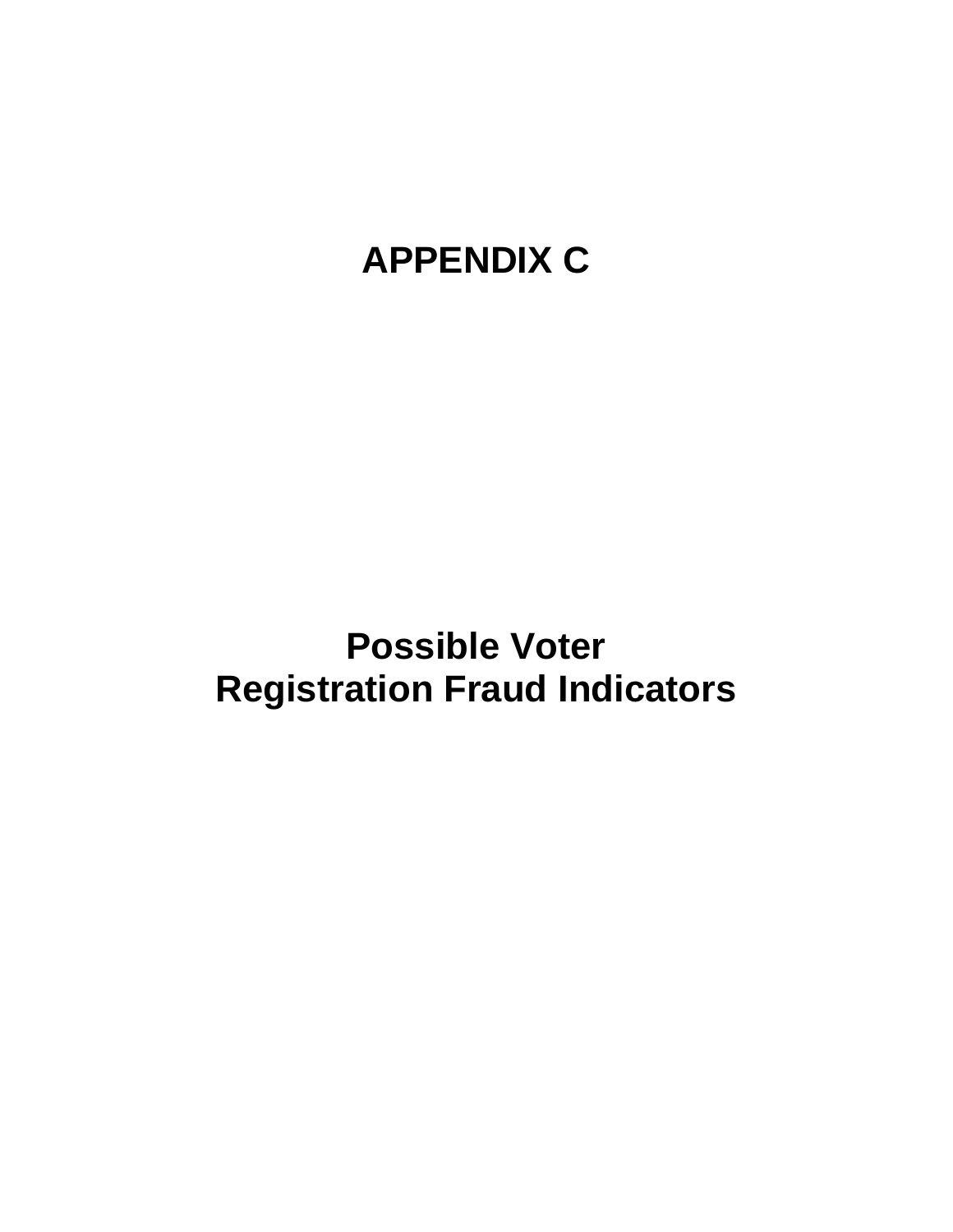# **APPENDIX C**

# **Possible Voter Registration Fraud Indicators**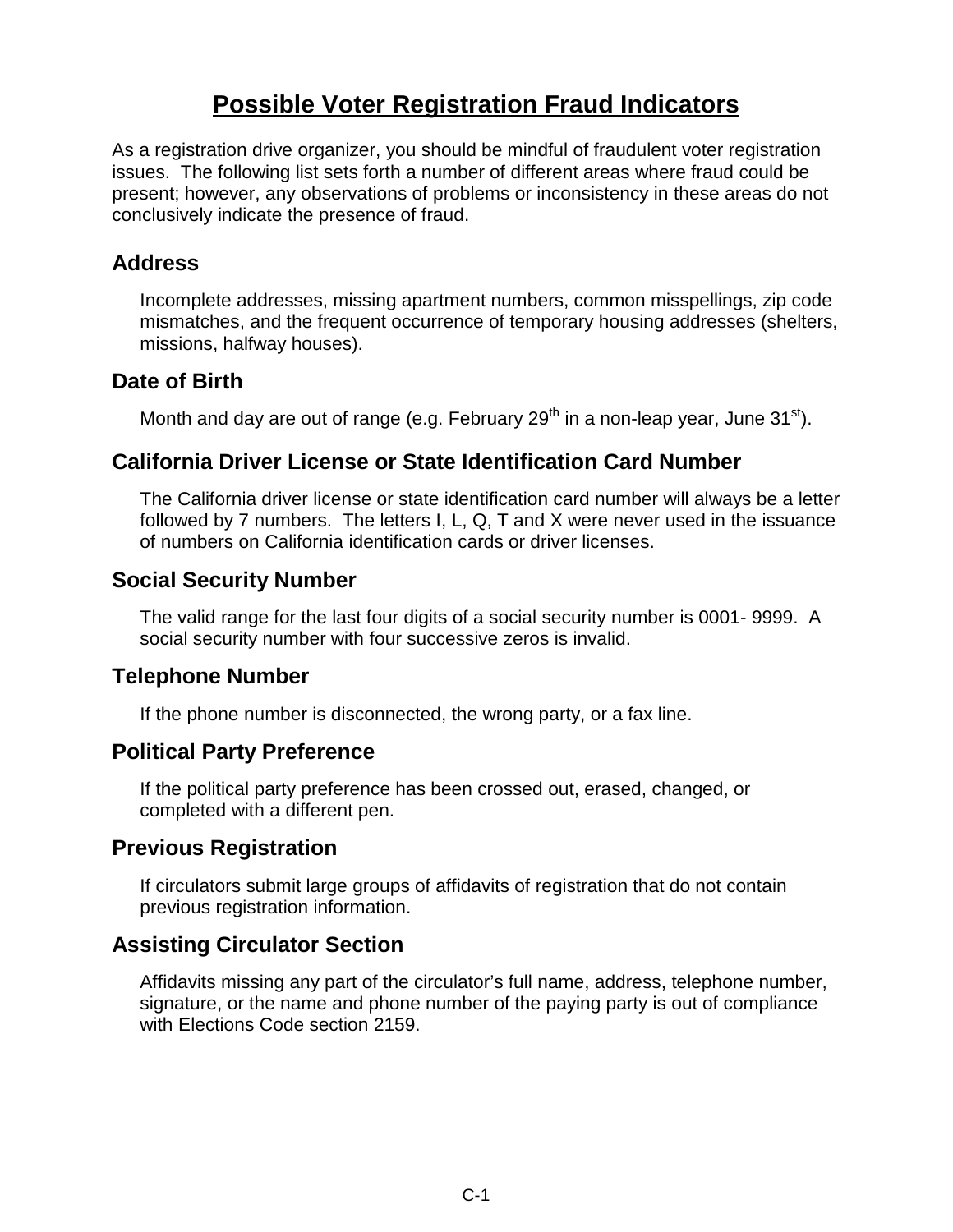# **Possible Voter Registration Fraud Indicators**

As a registration drive organizer, you should be mindful of fraudulent voter registration issues. The following list sets forth a number of different areas where fraud could be present; however, any observations of problems or inconsistency in these areas do not conclusively indicate the presence of fraud.

#### **Address**

Incomplete addresses, missing apartment numbers, common misspellings, zip code mismatches, and the frequent occurrence of temporary housing addresses (shelters, missions, halfway houses).

### **Date of Birth**

Month and day are out of range (e.g. February  $29<sup>th</sup>$  in a non-leap year, June 31<sup>st</sup>).

## **California Driver License or State Identification Card Number**

The California driver license or state identification card number will always be a letter followed by 7 numbers. The letters I, L, Q, T and X were never used in the issuance of numbers on California identification cards or driver licenses.

### **Social Security Number**

The valid range for the last four digits of a social security number is 0001- 9999. A social security number with four successive zeros is invalid.

### **Telephone Number**

If the phone number is disconnected, the wrong party, or a fax line.

### **Political Party Preference**

If the political party preference has been crossed out, erased, changed, or completed with a different pen.

### **Previous Registration**

If circulators submit large groups of affidavits of registration that do not contain previous registration information.

### **Assisting Circulator Section**

Affidavits missing any part of the circulator's full name, address, telephone number, signature, or the name and phone number of the paying party is out of compliance with Elections Code section 2159.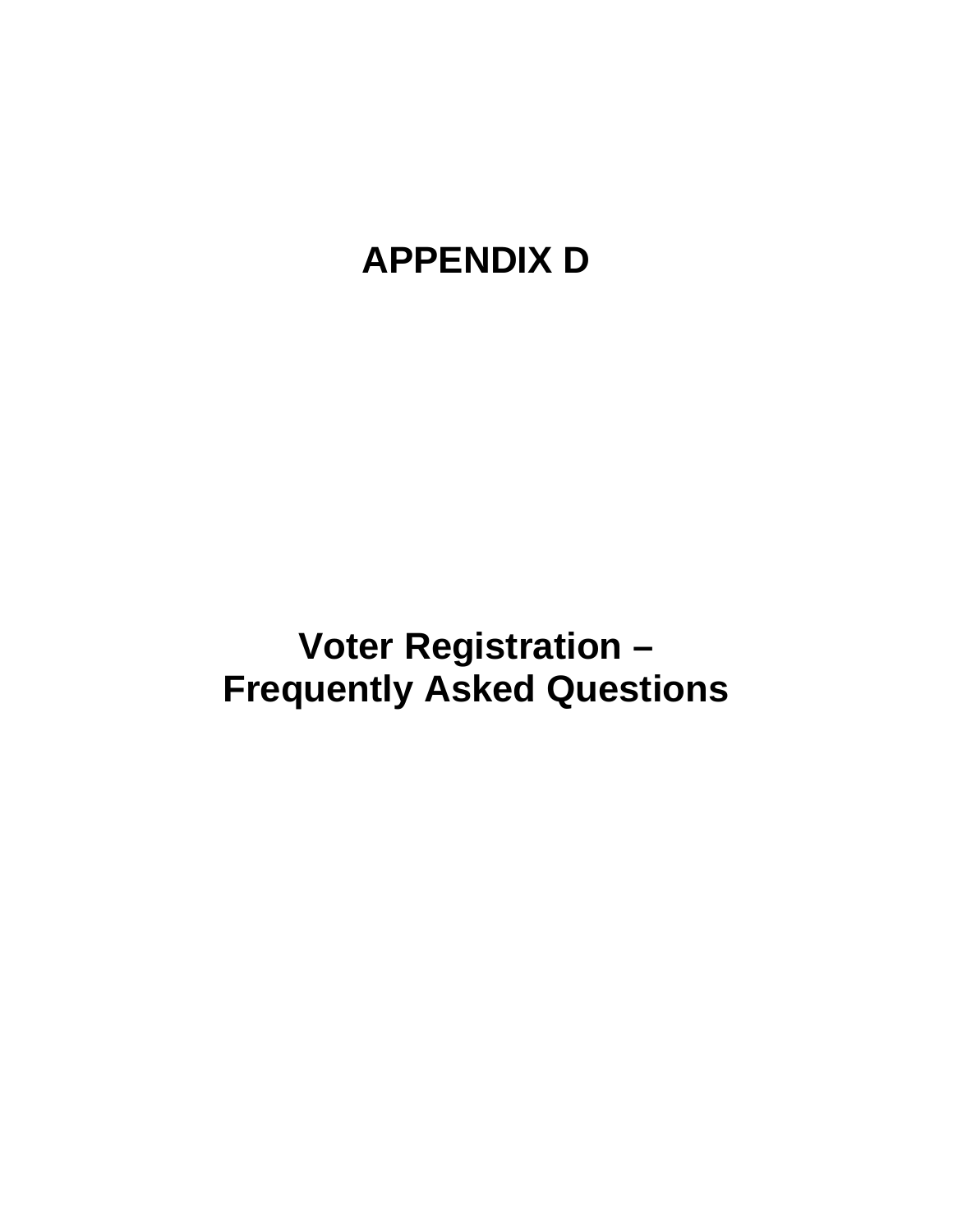# **APPENDIX D**

**Voter Registration – Frequently Asked Questions**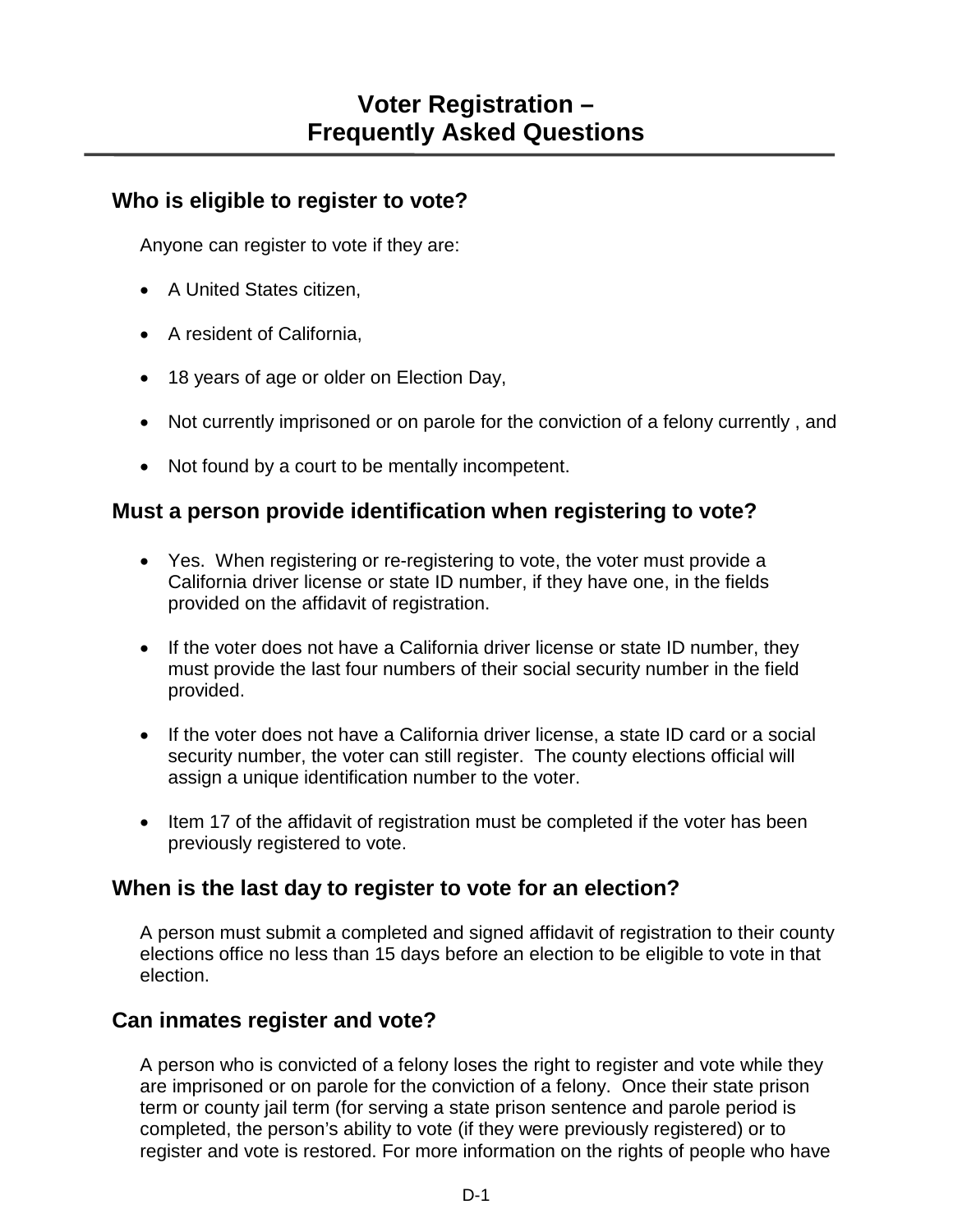### **Who is eligible to register to vote?**

Anyone can register to vote if they are:

- A United States citizen,
- A resident of California,
- 18 years of age or older on Election Day,
- Not currently imprisoned or on parole for the conviction of a felony currently , and
- Not found by a court to be mentally incompetent.

## **Must a person provide identification when registering to vote?**

- Yes. When registering or re-registering to vote, the voter must provide a California driver license or state ID number, if they have one, in the fields provided on the affidavit of registration.
- If the voter does not have a California driver license or state ID number, they must provide the last four numbers of their social security number in the field provided.
- If the voter does not have a California driver license, a state ID card or a social security number, the voter can still register. The county elections official will assign a unique identification number to the voter.
- Item 17 of the affidavit of registration must be completed if the voter has been previously registered to vote.

# **When is the last day to register to vote for an election?**

A person must submit a completed and signed affidavit of registration to their county elections office no less than 15 days before an election to be eligible to vote in that election.

# **Can inmates register and vote?**

A person who is convicted of a felony loses the right to register and vote while they are imprisoned or on parole for the conviction of a felony. Once their state prison term or county jail term (for serving a state prison sentence and parole period is completed, the person's ability to vote (if they were previously registered) or to register and vote is restored. For more information on the rights of people who have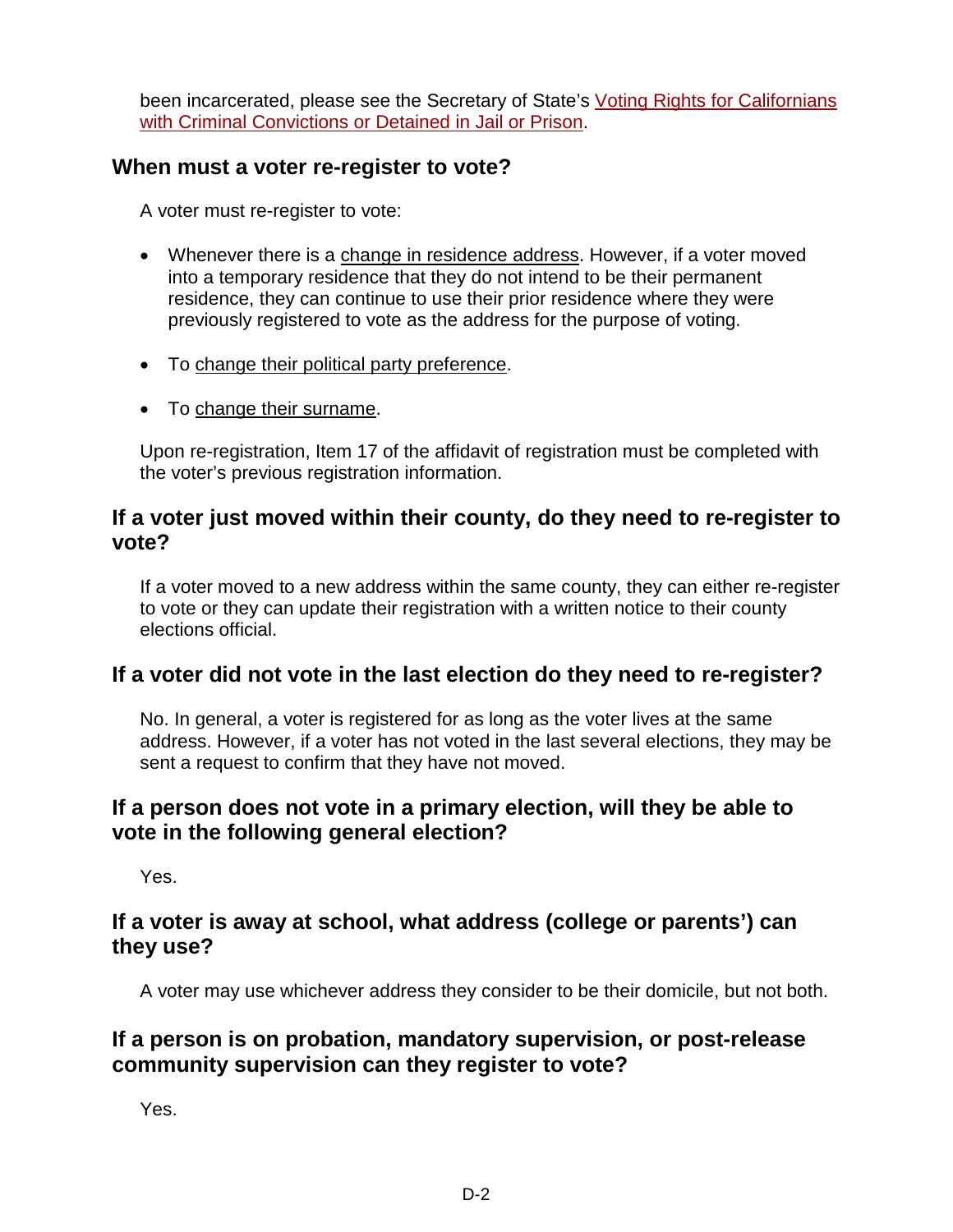been incarcerated, please see the Secretary of State's [Voting Rights for Californians](http://www.sos.ca.gov/elections/voting-resources/new-voters/who-can-vote-california/voting-rights-californians/)  [with Criminal Convictions or Detained in Jail or Prison.](http://www.sos.ca.gov/elections/voting-resources/new-voters/who-can-vote-california/voting-rights-californians/)

### **When must a voter re-register to vote?**

A voter must re-register to vote:

- Whenever there is a change in residence address. However, if a voter moved into a temporary residence that they do not intend to be their permanent residence, they can continue to use their prior residence where they were previously registered to vote as the address for the purpose of voting.
- To change their political party preference.
- To change their surname.

Upon re-registration, Item 17 of the affidavit of registration must be completed with the voter's previous registration information.

#### **If a voter just moved within their county, do they need to re-register to vote?**

If a voter moved to a new address within the same county, they can either re-register to vote or they can update their registration with a written notice to their county elections official.

# **If a voter did not vote in the last election do they need to re-register?**

No. In general, a voter is registered for as long as the voter lives at the same address. However, if a voter has not voted in the last several elections, they may be sent a request to confirm that they have not moved.

## **If a person does not vote in a primary election, will they be able to vote in the following general election?**

Yes.

### **If a voter is away at school, what address (college or parents') can they use?**

A voter may use whichever address they consider to be their domicile, but not both.

## **If a person is on probation, mandatory supervision, or post-release community supervision can they register to vote?**

Yes.